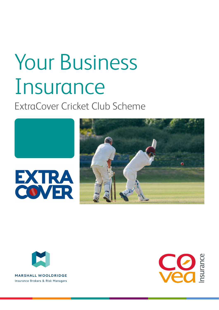# Your Business Insurance

ExtraCover Cricket Club Scheme





**MARSHALL WOOLDRIDGE** Insurance Brokers & Risk Managers

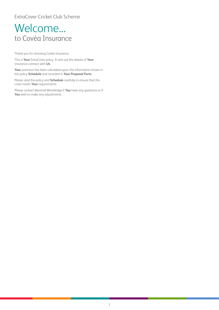### Welcome... to Covéa Insurance

Thank you for choosing Covéa Insurance.

This is **Your** ExtraCover policy. It sets out the details of **Your** insurance contract with **Us**.

**Your** premium has been calculated upon the information shown in the policy **Schedule** and recorded in **Your Proposal Form**.

Please read the policy and **Schedule** carefully to ensure that the cover meets **Your** requirements.

Please contact Marshall Wooldridge if **You** have any questions or if **You** wish to make any adjustments.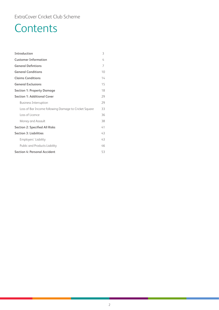### ExtraCover Cricket Club Scheme

# **Contents**

| Introduction                                          | 3  |
|-------------------------------------------------------|----|
| <b>Customer Information</b>                           | 4  |
| <b>General Defintions</b>                             | 7  |
| <b>General Conditions</b>                             | 10 |
| <b>Claims Conditions</b>                              | 14 |
| <b>General Exclusions</b>                             | 15 |
| <b>Section 1: Property Damage</b>                     | 18 |
| <b>Section 1: Additional Cover</b>                    | 29 |
| <b>Business Interruption</b>                          | 29 |
| Loss of Bar Income following Damage to Cricket Square | 33 |
| Loss of Licence                                       | 36 |
| Money and Assault                                     | 38 |
| <b>Section 2: Specified All Risks</b>                 | 41 |
| <b>Section 3: Liabilities</b>                         | 43 |
| Employers' Liability                                  | 43 |
| Public and Products Liability                         | 46 |
| <b>Section 4: Personal Accident</b>                   | 53 |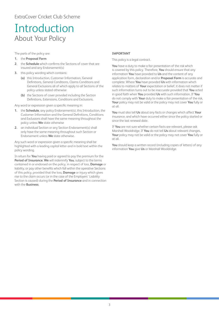### <span id="page-3-0"></span>Introduction About Your Policy

The parts of the policy are:

- **1.** the **Proposal Form**
- **2.** the **Schedule** which confirms the Sections of cover that are insured and any Endorsement(s)
- **3.** this policy wording which contains:
	- **(a)** this Introduction, Customer Information, General Definitions, General Conditions, Claims Conditions and General Exclusions all of which apply to all Sections of the policy unless stated otherwise
	- **(b)** the Sections of cover provided including the Section Definitions, Extensions, Conditions and Exclusions.

Any word or expression given a specific meaning in:

- **1.** the **Schedule**, any policy Endorsement(s), this Introduction, the Customer Information and the General Definitions, Conditions and Exclusions shall have the same meaning throughout the policy unless **We** state otherwise
- **2.** an individual Section or any Section Endorsement(s) shall only have the same meaning throughout such Section or Endorsement unless **We** state otherwise.

Any such word or expression given a specific meaning shall be highlighted with a leading capital letter and in bold text within the policy wording.

In return for **You** having paid or agreed to pay the premium for the **Period of Insurance**, **We** will indemnify **You**, subject to the terms contained in or endorsed on the policy, in respect of loss, **Damage** or liability, or pay other benefits which fall within the operative Sections of this policy, provided that the loss, **Damage** or injury which gives rise to the claim occurs (or in the case of the Employers' Liability Section is caused) during the **Period of Insurance** and in connection with the **Business**.

### **IMPORTANT**

This policy is a legal contract.

**You** have a duty to make a fair presentation of the risk which is covered by this policy. Therefore, **You** should ensure that any information **You** have provided to **Us** and the content of any application form, declaration and/or **Proposal Form** is accurate and complete. Where **You** have provided **Us** with information which relates to matters of **Your** expectation or belief, it does not matter if such information turns out to be inaccurate provided that **You** acted in good faith when **You** provided **Us** with such information. If **You** do not comply with **Your** duty to make a fair presentation of the risk, **Your** policy may not be valid or the policy may not cover **You** fully or at all.

**You** must also tell **Us** about any facts or changes which affect **Your** insurance, and which have occurred either since the policy started or since the last renewal date.

If **You** are not sure whether certain facts are relevant, please ask Marshall Wooldridge. If **You** do not tell **Us** about relevant changes, **Your** policy may not be valid or the policy may not cover **You** fully or at all.

**You** should keep a written record (including copies of letters) of any information **You** give **Us** or Marshall Wooldridge.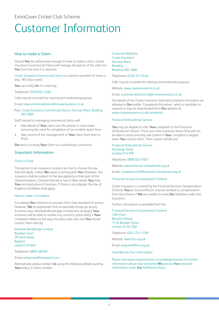### <span id="page-4-0"></span>ExtraCover Cricket Club Scheme

# Customer Information

### How to make a Claim

Should **You** be unfortunate enough to have to make a claim, Covéa Insurance Commercial Claims will manage all aspects of the claim for **You** from the time it is reported.

Covéa Insurance Commercial Claims is a service operated 24 hours a day, 365 days a year.

**You** can notify **Us** of a claim by:

Telephone: 0330 024 2266

Calls may be recorded for training and evidential purposes.

Email: newcommercialclaims@coveainsurance.co.uk

Post: Covéa Insurance Commercial Claims, Norman Place, Reading RG1 8DA

Staff trained in managing commercial claims will:

- take details of **Your** claim over the phone, in most cases removing the need for completion of an incident report form
- take control of the management of **Your** claim from start to finish.

**Our** aim is to bring **Your** claim to a satisfactory conclusion.

### Important Information

### Choice of Law

The parties to an insurance contract are free to choose the law that will apply. Unless **We** agree in writing with **You** otherwise, this insurance shall be subject to the law applying in that part of the United Kingdom, Channel Islands or Isle of Man where **You** have **Your** principal place of business. If there is any dispute, the law of England and Wales shall apply.

### How to make a Complaint

It is always **Our** intention to provide a first class standard of service. However, **We** do appreciate that occasionally things go wrong. In some cases, Marshall Wooldridge Limited who arranged **Your** insurance will be able to resolve any concerns, particularly if **Your** complaint relates to the way the policy was sold, and **You** should contact them directly.

Marshall Wooldridge Limited Rawdon Court 20 Leeds Road Rawdon Leeds LS19 6AX

Telephone: 0800 289301

### Email: extracover@marswool.com

Alternatively, please contact **Us** using the following details quoting **Your** policy or claim number.

Customer Relations Covéa Insurance Norman Place Reading Berkshire RG1 8DA

### Telephone: 0330 221 0444

Calls may be recorded for training and evidential purposes.

Website: www.coveainsurance.co.uk

### Email: customer.relations-rdg@coveainsurance.co.uk

Full details of the Covéa Insurance Internal Complaints Procedure are detailed in **Our** leaflet 'Complaints Procedure' which is available on request or may be downloaded from **Our** website at www.coveainsurance.co.uk/complaints

### Financial Ombudsman Service

**You** may be eligible to refer **Your** complaint to the Financial Ombudsman Service. There are a few instances where they will not be able to assist and they will confirm if **Your** complaint is eligible when **You** contact them. Their contact details are:

Financial Ombudsman Service Exchange Tower London E14 9SR

Telephone: 0800 023 4567

Website: www.financial-ombudsman.org.uk

Email: complaint.info@financial-ombudsman.org.uk

### Financial Services Compensation Scheme

Covéa Insurance is covered by the Financial Services Compensation Scheme. **You**/an Insured Person may be entitled to compensation from the scheme if **We** are unable to meet **Our** liabilities under this insurance.

Further information is available from the:

Financial Services Compensation Scheme 10th Floor Beaufort House 15 St Botolph Street London EC3A 7QU

Telephone: 020 7741 4100

Website: www.fscs.org.uk

Email: enquiries@fscs.org.uk

### How We Use Your Information

Please visit www.coveainsurance.co.uk/dataprotection for further information about how and when **We** process **Your** personal information under **Our** full Privacy Policy.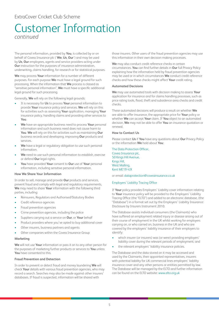### ExtraCover Cricket Club Scheme

### Customer Information *continued*

The personal information, provided by **You**, is collected by or on behalf of Covea Insurance plc ('**We**, **Us**, **Our**') and may be used by **Us**, **Our** employees, agents and service providers acting under **Our** instruction for the purposes of insurance administration, underwriting, claims handling, for research or for statistical purposes.

**We** may process **Your** information for a number of different purposes. For each purpose **We** must have a legal ground for such processing. When the information that **We** process is classed as "sensitive personal information", **We** must have a specific additional legal ground for such processing.

Generally, **We** will rely on the following legal grounds:

- It is necessary for **Us** to process **Your** personal information to provide **Your** insurance policy and services. **We** will rely on this for activities such as assessing **Your** application, managing **Your** insurance policy, handling claims and providing other services to **You**.
- **We** have an appropriate business need to process **Your** personal information and such business need does not cause harm to **You**. **We** will rely on this for activities such as maintaining **Our** business records and developing, improving **Our** products and services.
- **We** have a legal or regulatory obligation to use such personal information.
- **We** need to use such personal information to establish, exercise or defend **Our** legal rights.
- **You** have provided **Your** consent to **Our** use of **Your** personal information, including sensitive personal information.

### **How We Share Your Information**

In order to sell, manage and provide **Our** products and services, prevent fraud and comply with legal and regulatory requirements, **We** may need to share **Your** information with the following third parties, including:

- Reinsurers, Regulators and Authorised/Statutory Bodies
- Credit reference agencies
- Fraud prevention agencies
- Crime prevention agencies, including the police
- Suppliers carrying out a service on **Our**, or **Your** behalf
- Product providers where you've opted to buy additional cover
- Other insurers, business partners and agents
- Other companies within the Covea Insurance Group

#### **Marketing**

**We** will not use **Your** information or pass it on to any other person for the purposes of marketing further products or services to **You** unless **You** have consented to this.

### **Fraud Prevention and Detection**

In order to prevent or detect fraud and money laundering **We** will check **Your** details with various fraud prevention agencies, who may record a search. Searches may also be made against other insurers' databases. If fraud is suspected, information will be shared with

those insurers. Other users of the fraud prevention agencies may use this information in their own decision making processes.

**We** may also conduct credit reference checks in certain circumstances. **You** can find further details in **Our** full Privacy Policy explaining how the information held by fraud prevention agencies may be used or in which circumstances **We** conduct credit reference checks and how these checks might affect **Your** credit rating.

#### **Automated Decisions**

**We** may use automated tools with decision making to assess **Your** application for insurance and for claims handling processes, such as price rating tools, flood, theft and subsidence area checks and credit checks.

These automated decisions will produce a result on whether **We** are able to offer insurance, the appropriate price for **Your** policy or whether **We** can accept **Your** claim. If **You** object to an automated decision, **We** may not be able to offer **You** an insurance quotation or renewal.

#### **How to Contact Us**

Please contact **Us** if **You** have any questions about **Our** Privacy Policy or the information **We** hold about **You**:

The Data Protection Officer, Covea Insurance plc, 50 Kings Hill Avenue, Kings Hill, West Malling, Kent ME19 4JX

or email: dataprotection@coveainsurance.co.uk

### Employers' Liability Tracing Office

If **Your** policy provides Employers' Liability cover information relating to **Your** insurance policy will be provided to the Employers' Liability Tracing Office (the "ELTO") and added to an electronic database, (the "Database") in a format set out by the Employers' Liability Insurance: Disclosure by Insurers Instrument 2010.

The Database assists individual consumers (the Claimants) who have suffered an employment related injury or disease arising out of their course of employment in the UK whilst working for employers carrying on, or who carried on, business in the UK and who are covered by the employers' liability insurance of their employers to identify:

- which insurer (or insurers) was (or were) providing employers' liability cover during the relevant periods of employment; and
- the relevant employers' liability insurance policies.

The Database and the data stored on it may be accessed and used by the Claimants, their appointed representatives, insurers with potential liability for UK commercial lines employers' liability insurance cover and any other persons or entities permitted by law. The Database will be managed by the ELTO and further information can be found on the ELTO website: www.elto.org.uk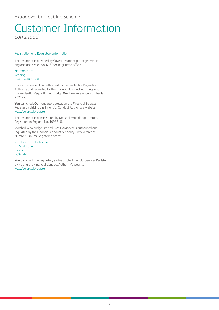# Customer Information

*continued*

### Registration and Regulatory Information

This insurance is provided by Covea Insurance plc. Registered in England and Wales No. 613259. Registered office:

### Norman Place Reading Berkshire RG1 8DA.

Covea Insurance plc is authorised by the Prudential Regulation Authority and regulated by the Financial Conduct Authority and the Prudential Regulation Authority. **Our** Firm Reference Number is 202277.

**You** can check **Our** regulatory status on the Financial Services Register by visiting the Financial Conduct Authority's website www.fca.org.uk/register.

This insurance is administered by Marshall Wooldridge Limited. Registered in England No. 1093348.

Marshall Wooldridge Limited T/As Extracover is authorised and regulated by the Financial Conduct Authority. Firm Reference Number 136079. Registered office:

7th Floor, Corn Exchange, 55 Mark Lane, London, EC3R 7NE

**You** can check the regulatory status on the Financial Services Register by visiting the Financial Conduct Authority's website www.fca.org.uk/register.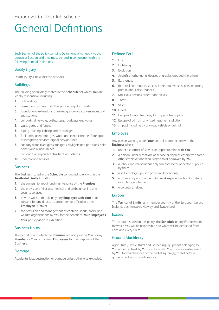### <span id="page-7-0"></span>ExtraCover Cricket Club Scheme

# General Defintions

Each Section of the policy contains Definitions which apply to that particular Section and they must be read in conjunction with the following General Definitions.

### Bodily Injury

Death, injury, illness, disease or shock.

### **Buildings**

The Building or Buildings stated in the **Schedule** for which **You** are legally responsible including:

- **1.** outbuildings
- **2.** permanent fixtures and fittings including alarm systems
- **3.** foundations, extensions, annexes, gangways, conveniences and sub-stations
- **4.** car parks, driveways, paths, steps, roadways and yards
- **5.** walls, gates and fences
- **6.** piping, ducting, cabling and control gear
- **7.** fuel tanks, telephone, gas, water and electric meters, fibre optic or integrated services, digital network lines
- **8.** sanitary ware, fixed glass, fanlights, skylights and partitions, solar panels and wind turbines
- **9.** air conditioning and central heating systems
- **10.** underground services

### **Business**

The Business stated in the **Schedule** conducted solely within the **Territorial Limits** including:

- **1.** the ownership, repair and maintenance of the **Premises**
- **2.** the provision of first aid, medical and ambulance, fire and security services
- **3.** private work undertaken by any **Employee** with **Your** prior consent for any director, partner, senior official or other **Employee** of **Yours**
- **4.** the provision and management of canteen, sports, social and welfare organisations by **You** for the benefit of **Your Employees**
- **5. Your** participation in exhibitions.

### Business Hours

The period during which the **Premises** are occupied by **You** or any **Member** or **Your** authorised **Employees** for the purposes of the **Business**.

### Damage

Accidental loss, destruction or damage unless otherwise excluded.

### Defined Peril

- **1.** Fire
- **2.** Lightning
- **3.** Explosion
- **4.** Aircraft or other aerial devices or articles dropped therefrom
- **5.** Earthquake
- **6.** Riot, civil commotion, strikers, locked-out workers, persons taking part in labour disturbances
- **7.** Malicious persons other than thieves
- **8.** Theft
- **9.** Storm
- **10.** Flood
- **11.** Escape of water from any tank apparatus or pipe
- **12.** Escape of oil from any fixed heating installation
- **13.** Impact including by any road vehicle or animal.

### Employee

Any person working under **Your** control in connection with the **Business** who is:

- **1.** under a contract of service or apprenticeship with **You**
- **2.** a person under a contract of service or apprenticeship with some other employer and who is hired to or borrowed by **You**
- **3.** a labour master or labour only sub-contractor or person supplied by them
- **4.** a self-employed person providing labour only
- **5.** a trainee or person undergoing work experience, training, study or exchange scheme
- **6.** a voluntary helper.

### Europe

The **Territorial Limits**, any member country of the European Union, Iceland, Liechtenstein, Norway and Switzerland.

### Excess

The amount stated in this policy, the **Schedule** or any Endorsement for which **You** will be responsible and which will be deducted from each and every claim.

### Ground Machinery

Agricultural, Horticultural and Gardening Equipment belonging to **You** or held in trust by **You** and for which **You** are responsible, used by **You** for maintenance of the cricket square(s), cricket field(s) gardens and landscaped grounds.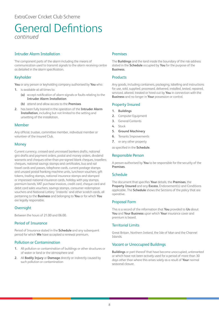### General Defintions *continued*

### Intruder Alarm Installation

The component parts of the alarm including the means of communication used to transmit signals to the alarm receiving centre as detailed in the alarm specification.

### Keyholder

**You** or any person or keyholding company authorised by **You** who:

- **1.** is available at all times to:
	- **(a)** accept notification of alarm signals or faults relating to the **Intruder Alarm Installation**
	- **(b)** attend and allow access to the **Premises**
- **2.** has been fully trained in the operation of the **Intruder Alarm Installation**, including but not limited to the setting and unsetting of the installation.

### Member

Any official, trustee, committee member, individual member or volunteer of the insured Club.

### **Money**

Current currency, crossed and uncrossed bankers drafts, national giro drafts and payment orders, postal and money orders, dividend warrants and cheques other than pre-signed blank cheques, travellers cheques, national savings stamps and certificates, bus and rail travel cards and passes, telephone cards, current postage stamps and unused postal franking machine units, luncheon vouchers, gift tokens, trading stamps, national insurance stamps and stamped or impressed national insurance cards, holiday with pay stamps, premium bonds, VAT purchase invoices, credit card, cheque card and debit card sales vouchers, savings stamps, consumer redemption vouchers and National Lottery 'Instants' and other scratch cards, all pertaining to the **Business** and belonging to **You** or for which **You** are legally responsible.

### **Overnight**

Between the hours of 21.00 and 06.00.

### Period of Insurance

Period of Insurance stated in the **Schedule** and any subsequent period for which **We** have accepted a renewal premium.

### Pollution or Contamination

- **1.** All pollution or contamination of buildings or other structures or of water or land or the atmosphere and
- **2.** All **Bodily Injury** or **Damage** directly or indirectly caused by such pollution or contamination

### Premises

The **Buildings** and the land inside the boundary of the risk address stated in the **Schedule** occupied by **You** for the purpose of the **Business**.

### **Products**

Any goods, including containers, packaging, labelling and instructions for use, sold, supplied, processed, delivered, installed, tested, repaired, serviced, altered, treated or hired out by **You** in connection with the **Business** and no longer in **Your** possession or control.

### Property Insured

- **1. Buildings**
- **2.** Computer Equipment
- **3.** General Contents
- **4.** Stock
- **5. Ground Machinery**
- **6.** Tenants Improvements
- **7.** or any other property

as specified in the **Schedule**.

### Responsible Person

A person authorised by **You** to be responsible for the security of the **Premises**.

### Schedule

The document that specifies **Your** details, the **Premises**, the **Property Insured** and any **Excess**, Endorsement(s) and Conditions applicable. The **Schedule** shows the Sections of the policy that are operative.

### Proposal Form

This is a record of the information that **You** provided to **Us** about **You** and **Your Business** upon which **Your** insurance cover and premium is based.

### Territorial Limits

Great Britain, Northern Ireland, the Isle of Man and the Channel Islands.

### Vacant or Unoccupied Buildings

**Buildings** or part thereof that have become unoccupied, untenanted or which have not been actively used for a period of more than 30 days other than where this arises solely as a result of **Your** normal seasonal closure.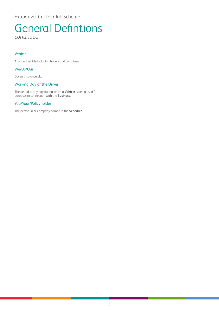ExtraCover Cricket Club Scheme

### General Defintions *continued*

### Vehicle

Any road vehicle including trailers and containers.

### We/Us/Our

Covea Insurance plc.

### Working Day of the Driver

The period in any day during which a **Vehicle** is being used for purposes in connection with the **Business**.

### You/Your/Policyholder

The person(s) or Company named in the **Schedule**.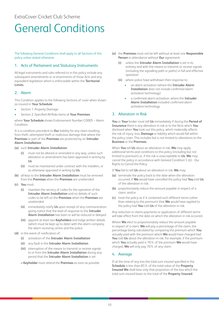# <span id="page-10-0"></span>General Conditions

The following General Conditions shall apply to all Sections of this policy unless stated otherwise.

### 1. Acts of Parliament and Statutory Instruments

All legal instruments and rules referred to in this policy include any subsequent amendments or re-enactments of those Acts and any equivalent legislation which is enforceable within the **Territorial Limits**.

### 2. Alarm

This Condition applies to the following Sections of cover when shown as insured in **Your Schedule**:

- Section 1: Property Damage
- Section 2: Specified All Risks items at **Your Premises**

where **Your Schedule** shows Endorsement Number CO005 – Alarm Condition.

It is a condition precedent to **Our** liability for any claim resulting from theft, attempted theft or malicious damage that where the **Premises** or part of the **Premises** are protected by an **Intruder Alarm Installation**:

### **(a)** such **Intruder Alarm Installation**:

- **(i)** must not be altered or amended in any way, unless such alteration or amendment has been approved in writing by **Us**
- **(ii)** must be maintained under contract with the installers, or as otherwise approved in writing by **Us**.
- **(b)** all keys to the **Intruder Alarm Installation** must be removed from the **Premises** when the **Premises** are unattended
- **(c) You** must:
	- **(i)** maintain the secrecy of codes for the operation of the **Intruder Alarm Installation** and no details of such codes to be left on the **Premises** when the **Premises** are unattended
	- **(ii)** immediately notify **Us** upon receipt of any communication giving notice that the level of response to the **Intruder Alarm Installation** has been or will be reduced or delayed
	- **(iii)** appoint at least two **Keyholders** and lodge written details (which must be kept up to date) with the alarm company, the alarm receiving centre and the police
- **(d)** in the event of notification of:
	- **(i)** activation of the **Intruder Alarm Installation**
	- **(ii)** any fault in the **Intruder Alarm Installation**
	- **(iii)** interruption of the means to transmit or receive signals to or from the **Intruder Alarm Installation** during any period that the **Intruder Alarm Installation** is set

a **Keyholder** must attend the **Premises** as soon as possible

- **(e)** the **Premises** must not be left without at least one **Responsible Person** in attendance without **Our** agreement:
	- **(i)** unless the **Intruder Alarm Installation** is set in its entirety and with the means to transmit or receive signals (including the signalling path or paths) in full and effective operation
	- **(ii)** where police have withdrawn their response to:
		- an alarm activation (where the **Intruder Alarm Installation** does not include confirmed alarm activation technology)
		- a confirmed alarm activation, where the **Intruder Alarm Installation** included confirmed alarm activation technology.

### 3. Alteration in Risk

**You** or **Your** broker must tell **Us** immediately if during the **Period of Insurance** there is any alteration in risk or to the facts which **You** disclosed when **You** took out this policy, which materially affects the risk of injury, loss, **Damage** or liability which would fall within the policy cover. This includes but is not limited to alterations to the **Business** or the **Premises**.

When **You** tell **Us** about an alteration in risk, **We** may apply additional terms and conditions to this policy (including but not limited to premium) or, if the risk is unacceptable to **Us**, **We** may cancel the policy in accordance with General Condition 5 (b) - Our Rights to Cancel the Policy.

If **You** fail to tell **Us** about an alteration in risk, **We** may:

- **(a)** terminate the policy back to the date when the alteration occurred, if **We** would have cancelled the policy had **You** told **Us** of the alteration in risk;
- **(b)** proportionately reduce the amount payable in respect of a claim; and/or
- **(c)** treat the policy as if it contained such different terms (other than relating to the premium) that **We** would have applied to the policy had **You** told **Us** of the alteration in risk.

Any reduction in claims payments or application of different terms will take effect from the date on which the alteration in risk occurred.

Where **We** elect to proportionately reduce the amount payable in respect of a claim, **We** will pay a percentage of the claim, the percentage being calculated by comparing the premium which **You** actually paid with the premium which **We** would have charged had **You** told **Us** about the alteration in risk. For example, if the premium which **You** actually paid is 70% of the premium **We** would have charged, **We** will only pay 70% of any claim.

### 4. Average

If at the time of any loss the total sum insured specified in the **Schedule** is less than 85% of the total value of the **Property Insured We** shall bear only that proportion of the loss which the total sum insured bears to the total of the **Property Insured**.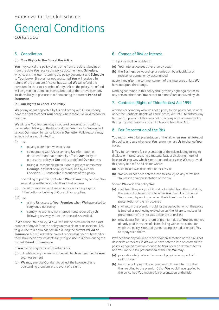### General Conditions *continued*

### 5. Cancellation

### **(a) Your Rights to the Cancel the Policy**

**You** may cancel this policy at any time from the date it begins or from the date **You** receive this policy document and **Schedule**, whichever is the later, returning the policy document and **Schedule** to **Your** broker. If cover has not yet started **You** will receive a full refund of the premium. If cover has started **We** will refund the premium for the exact number of days left on the policy. No refund will be given if a claim has been submitted or there have been any incidents likely to give rise to a claim during the current **Period of Insurance**.

### **(b) Our Rights to Cancel the Policy**

**We** or any agent appointed by **Us** and acting with **Our** authority have the right to cancel **Your** policy, where there is a valid reason for doing so.

**We** will give **You** fourteen day's notice of cancellation in writing, by recorded delivery, to the latest address **We** have for **You** and will set out **Our** reason for cancellation in **Our** letter. Valid reasons may include but are not limited to:

- **(i)** not
	- paying a premium when it is due
	- co-operating with **Us**, or sending **Us** information or documentation that materially affects **Our** ability to process the policy or **Our** ability to defend **Our** interests
	- taking all reasonable precautions to prevent or minimise **Damage**, accident or injury as required by General Condition 10. Reasonable Precautions of this policy

and failing to put this right when **We** ask **You** to by sending **You** seven days written notice to **Your** latest address

- **(ii)** use of threatening or abusive behaviour or language, or intimidation or bullying of **Our** staff or suppliers.
- **(iii)** not
	- giving **Us** access to **Your Premises** when **We** have asked to carry out a risk survey
	- complying with any risk improvements required by **Us** following a survey within the timescales specified.

If **We** cancel **Your** policy, **We** will refund the premium for the exact number of days left on the policy unless a claim or an incident likely to give rise to a claim has occurred during the current **Period of Insurance**. No refund will be given if a claim has been submitted or there have been any incidents likely to give rise to a claim during the current **Period of Insurance**.

If **You** are paying by monthly instalments:

- **(a)** all outstanding monies must be paid to **Us** as described in **Your** Loan Agreement
- **(b) We** may exercise **Our** right to collect the balance of any outstanding premium in the event of a claim.

### 6. Change of Risk or Interest

This policy shall be avoided if:

- **(a) Your** interest ceases other than by death
- **(b)** the **Business** be wound up or carried on by a liquidator or receiver or permanently discontinued

at any time after the commencement of this insurance unless **We** have accepted the change.

Nothing contained in this policy shall give any right against **Us** to any person other than **You** except to a transferee approved by **Us**.

### 7. Contracts (Rights of Third Parties) Act 1999

A person or company who was not a party to this policy has no right under the Contracts (Rights of Third Parties) Act 1999 to enforce any term of this policy but this does not affect any right or remedy of a third party which exists or is available apart from that Act.

### 8. Fair Presentation of the Risk

**You** must make a fair presentation of the risk when **You** first take out this policy and also whenever **You** renew it or ask **Us** to change **Your** cover.

If **You** fail to make a fair presentation of the risk including failing to disclose or misrepresenting a material fact, or disclosing material facts to **Us** in a way which is not clear and accessible **We** may avoid this policy and refuse all claims where:

- **(a)** such failure was deliberate or reckless; or
- **(b) We** would not have entered into this policy on any terms had **You** made a fair presentation of the risk.

Should **We** avoid this policy **We**:

- **(a)** shall treat the policy as if it had not existed from the start date, the renewal date, or the date when **You** asked **Us** to change **Your** cover, depending on when the failure to make a fair presentation of the risk occurred
- **(b)** shall return the premium paid for the period for which the policy is treated as not having existed unless the failure to make a fair presentation of the risk was deliberate or reckless
- **(c)** may deduct from any return of premium due to **You** any monies already paid in respect of claims falling within the period for which the policy is treated as not having existed or require **You** to repay such claims.

Provided that any failure to make a fair presentation of the risk is not deliberate or reckless, if **We** would have entered into or renewed this policy, or agreed to make changes to **Your** cover on different terms had **You** made a fair presentation of the risk, **We** may:

- **(a)** proportionately reduce the amount payable in respect of a claim; and/or
- **(b)** treat the policy as if it contained such different terms (other than relating to the premium) that **We** would have applied to the policy had **You** made a fair presentation of the risk.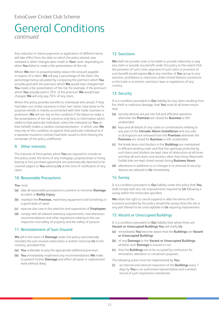### General Conditions *continued*

Any reduction in claims payments or application of different terms will take effect from the date on which the policy started, was renewed or when changes were made to **Your** cover, depending on when **You** failed to make a fair presentation of the risk.

Where **We** elect to proportionately reduce the amount payable in respect of a claim, **We** will pay a percentage of the claim, the percentage being calculated by comparing the premium which **You** actually paid with the premium which **We** would have charged had **You** made a fair presentation of the risk. For example, if the premium which **You** actually paid is 70% of the premium **We** would have charged, **We** will only pay 70% of any claim.

Where this policy provides benefits to individuals who would, if they had taken out similar insurance in their own name, have done so for purposes wholly or mainly unconnected with their trade, business or profession, **We** will not rely on this condition if the failure to make a fair presentation of the risk concerns only facts or information which relate to that particular individual, unless the individual (or **You** on their behalf) makes a careless misrepresentation , in which case **We** may rely on this condition as against that particular individual as if a separate insurance contract had been issued to them leaving the remainder of the policy unaffected.

### 9. Other interests

The interests of third parties which **You** are required to include on this policy under the terms of any mortgage, property lease or hiring leasing or hire purchase agreement are automatically deemed to be covered subject to **You** advising **Us** at the time of notification of any claim.

### 10. Reasonable Precautions

**You** must:

- **(a)** take all reasonable precautions to prevent or minimise **Damage**, accident or **Bodily Injury**
- **(b)** maintain the **Premises**, machinery equipment and furnishings in a good state of repair
- **(c)** exercise due care in the selection and supervision of **Employees**
- **(d)** comply with all relevant statutory requirements, manufacturers' recommendations and other regulations relating to the use, inspection and safety of property and the safety of persons.

### 11. Reinstatement of Sum Insured

**We** will in the event of **Damage** under this policy automatically reinstate the sum insured unless there is written notice by **Us** to the contrary, provided that:

- **(a) You** undertake to pay the appropriate additional premium
- **(b) You** immediately implement any recommendations **We** make to prevent further **Damage** and effect all repair or replacement work without delay.

### 12. Sanctions

**We** shall not provide cover or be liable to provide indemnity or pay any claim or provide any benefit under this policy to the extent that the provision of such cover, payment of such claim or provision of such benefit would expose **Us** or any member of **Our** group to any sanction, prohibition or restriction under United Nations resolutions or the trade or economic sanctions, laws or regulations of any country.

### 13. Security

It is a condition precedent to **Our** liability for any claim resulting from fire, theft or malicious damage, that **You** must at all times ensure that:

- **(a)** security devices are put into full and effective operation whenever the **Premises** are closed for **Business** or left unattended
- **(b)** keys and all details of any codes or combinations relating to any part of the **Intruder Alarm Installation** and any safe or strongroom are removed from the **Premises** whenever the **Premises** are closed for **Business** or left unattended
- **(c)** fire break doors and shutters in the **Buildings** are maintained in efficient working order and that the openings protected by such doors and shutters are kept clear of obstruction at all times and that all such doors and shutters other than those fitted with fusible links are kept closed except during **Business Hours**
- **(d)** alterations or additions to or changes in or removal of security devices are advised to **Us** immediately.

### 14. Survey

It is a condition precedent to **Our** liability under this policy that **You** shall comply with any risk improvements required by **Us** following a survey within the timescales specified.

**We** retain the right to cancel suspend or alter the terms of the insurance provided by this policy should the survey show the risk or any part thereof to be unacceptable to **Us** requiring improvement.

### 15. Vacant or Unoccupied Buildings

It is a condition precedent to **Our** liability that where there are **Vacant or Unoccupied Buildings You** will notify **Us**:

- **(a)** immediately **You** become aware that the **Buildings** are **Vacant or Unoccupied Buildings**
- **(b)** of any **Damage** to the **Vacant or Unoccupied Buildings** whether such **Damage** is insured or not
- **(c)** that the **Buildings** are to be occupied by contractors for renovation, alteration or conversion purposes.

The following action must be implemented by **You**:

**(i)** an internal and external inspection of the **Buildings** every 7 days by **You** or an authorised representative and a written record of such inspections maintained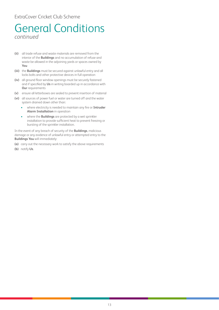### ExtraCover Cricket Club Scheme

### General Conditions *continued*

- **(ii)** all trade refuse and waste materials are removed from the interior of the **Buildings** and no accumulation of refuse and waste be allowed in the adjoining yards or spaces owned by **You**
- **(iii)** the **Buildings** must be secured against unlawful entry and all locks bolts and other protective devices in full operation
- **(iv)** all ground floor window openings must be securely fastened and if specified by **Us** in writing boarded up in accordance with **Our** requirements
- **(v)** ensure all letterboxes are sealed to prevent insertion of material
- **(vi)** all sources of power fuel or water are turned off and the water system drained down other than:
	- where electricity is needed to maintain any fire or **Intruder Alarm Installation** in operation
	- where the **Buildings** are protected by a wet sprinkler installation to provide sufficient heat to prevent freezing or bursting of the sprinkler installation.

In the event of any breach of security of the **Buildings**, malicious damage or any evidence of unlawful entry or attempted entry to the **Buildings You** will immediately:

- **(a)** carry out the necessary work to satisfy the above requirements
- **(b)** notify **Us**.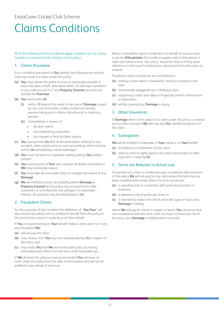### <span id="page-14-0"></span>ExtraCover Cricket Club Scheme

# Claims Conditions

### All of the following Claims Conditions apply in addition to any Claims Conditions contained in the Sections of this policy.

### 1. Claims Procedure

It is a condition precedent to **Our** liability that following an incident that may result in a claim under this policy:

- **(a) You** must advise the police as soon as reasonably possible if there has been a theft, attempted theft, riot damage, vandalism or any malicious act or if any **Property Insured** has been lost outside the **Premises**
- **(b) You** must notify **Us**:
	- **(i)** within 28 days of the event in the case of **Damage** caused by riot, civil commotion, strikers, locked-out workers, persons taking part in labour disturbances or malicious persons
	- **(ii)** immediately in respect of:
		- all other claims
		- any impending prosecution
		- any inquest or fatal accident inquiry
- **(c) You** must provide **Us** with all documentation relating to any accident, claim, prosecution or court proceedings which must be sent to **Us** immediately, unacknowledged
- **(d) You** must not admit or repudiate liability without **Our** written consent
- **(e) You** must provide at **Your** own expense all details and evidence **We** may reasonably require
- **(f) You** must take all reasonable steps to mitigate the extent of any **Damage**
- **(g) We** are entitled to enter any building where **Damage** to **Property Insured** by this policy has occurred and to take possession of and deal with any salvage in a reasonable manner. No property may be abandoned to **Us**.

### 2. Fraudulent Claims

For the purposes of this Condition the definition of '**You**/**Your**' will also include any person who is entitled to benefit from the policy to the extent that a claim is made by or on their behalf.

If **You** or anyone acting on **Your** behalf makes a claim which is in any way fraudulent **We**:

- **(a)** will not pay the claim
- **(b)** may recover from **You** any sums already paid by **Us** in respect of the claim; and
- **(c)** may notify **You** that **We** are treating this policy as having terminated with effect from the time of the fraudulent act.

If **We** do treat this policy as having terminated **You** will have no cover under this policy from the date of termination and will not be entitled to any refund of premium.

Where a fraudulent claim is made by or on behalf of a person who is not the **Policyholder** this condition applies only to that person's claim and references to 'this policy' should be read as if they were references to the cover for that person alone and not to the policy as a whole.

Fraudulent claims include but are not limited to:

- **(a)** making a claim which is fraudulent, fictitious or known to be false
- **(b)** intentionally exaggerating or inflating a claim
- **(c)** supporting a claim with false or forged documents, information or statements
- **(d)** wilfully causing loss, **Damage** or injury.

### 3. Other Insurances

If **Damage** which is the subject of a claim under this policy is covered by any other insurance **We** will only pay **Our** rateable proportion of the claim.

### 4. Subrogation

**We** will be entitled to undertake in **Your** name or on **Your** behalf:

- **(a)** the defence or settlement of any claim
- **(b)** steps to enforce rights against any other party before or after payment is made by **Us**.

### 5. Terms not Relevant to Actual Loss

If payment of a claim is conditional upon compliance with any term of this policy **We** will not pay for any claim where the term has not been complied with except where the term concerned:

- **(a)** is operative only in connection with particular premises or locations;
- **(b)** is operative only at particular times; or
- **(c)** is intended to reduce the risk of particular types of injury, loss, **Damage** or liability

where **We** will pay for claims in respect of which **You** can prove that non-compliance with the term could not have increased the risk of the injury, loss, **Damage** or liability which occurred.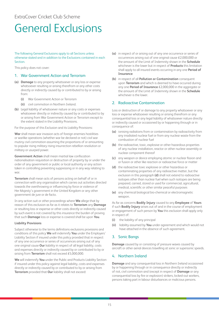# <span id="page-15-0"></span>General Exclusions

### The following General Exclusions apply to all Sections unless otherwise stated and in addition to the Exclusions contained in each **Section**

This policy does not cover:

### 1. War Government Action and Terrorism

- **(a) Damage** to any property whatsoever or any loss or expense whatsoever resulting or arising therefrom or any other costs directly or indirectly caused by or contributed to by or arising from:
	- **(i)** War Government Action or Terrorism
	- **(ii)** civil commotion in Northern Ireland.
- **(b)** Legal liability of whatsoever nature or any costs or expenses whatsoever directly or indirectly caused by or contributed to by or arising from War Government Action or Terrorism except to the extent stated in the Liability Provisions.

For the purpose of this Exclusion and its Liability Provisions:

**War** shall mean war invasion acts of foreign enemies hostilities or warlike operations (whether war be declared or not) civil war mutiny civil commotion assuming the proportions of or amounting to popular rising military rising insurrection rebellion revolution or military or usurped power.

**Government Action** shall mean martial law confiscation nationalisation requisition or destruction of property by or under the order of any government or public or local authority or any action taken in controlling preventing suppressing or in any way relating to war.

**Terrorism** shall mean acts of persons acting on behalf of or in connection with any organisation which carries out activities directed towards the overthrowing or influencing by force or violence of Her Majesty's government in the United Kingdom or any other government de jure or de facto.

In any action suit or other proceedings where **We** allege that by reason of this exclusion as far as it relates to **Terrorism** any **Damage** or resulting loss or expense or other costs directly or indirectly caused by such event is not covered by this insurance the burden of proving that such **Damage** loss or expense is covered shall be upon **You**.

### **Liability Provisions**

Subject otherwise to the terms definitions exclusions provisions and conditions of this policy **We** will indemnify **You** under the Employers' Liability Section if insured under this policy provided that in respect of any one occurrence or series of occurrences arising out of any one original cause **Our** liability in respect of all legal liability, costs and expenses directly or indirectly caused by or contributed to by or arising from **Terrorism** shall not exceed £5,000,000.

**We** will indemnify **You** under the Public and Products Liability Section if insured under this policy against legal liability, costs and expenses directly or indirectly caused by or contributed to by or arising from **Terrorism** provided that **Our** liability shall not exceed:

- **(a)** in respect of or arising out of any one occurrence or series of occurrences arising out of one original cause £2,000,000 or the amount of the Limit of Indemnity shown in the **Schedule** whichever is the lower but in respect of **Products** this limitation shall apply to all insured events occurring in any one **Period of Insurance**
- **(b)** in respect of all **Pollution or Contamination** consequent upon **Terrorism** and which is deemed to have occurred during any one **Period of Insurance** £2,000,000 in the aggregate or the amount of the Limit of Indemnity shown in the **Schedule** whichever is the lower.

### 2. Radioactive Contamination

Loss or destruction of or damage to any property whatsoever or any loss or expense whatsoever resulting or arising therefrom or any consequential loss or any legal liability of whatsoever nature directly or indirectly caused or occasioned by or happening through or in consequence of:

- **(a)** ionising radiations from or contamination by radioactivity from any irradiated nuclear fuel or from any nuclear waste from the combustion of nuclear fuel
- **(b)** the radioactive, toxic, explosive or other hazardous properties of any nuclear installation, reactor or other nuclear assembly or nuclear component thereof
- **(c)** any weapon or device employing atomic or nuclear fission and or fusion or other like reaction or radioactive force or matter
- **(d)** the radioactive toxic explosive or other hazardous or contaminating properties of any radioactive matter, but the exclusion in this paragraph **(d)** shall not extend to radioactive isotopes other than nuclear fuel when such isotopes are being prepared, carried, stored or used for commercial, agricultural, medical, scientific or other similar peaceful purposes
- **(e)** any chemical biological bio-chemical or electromagnetic weapon.

As far as concerns **Bodily Injury** caused to any **Employee** of **Yours** if such **Bodily Injury** arises out of and in the course of employment or engagement of such person by **You** this exclusion shall apply only in respect of:

- **(i)** the liability of any principal
- **(ii)** liability assumed by **You** under agreement and which would not have attached in the absence of such agreement.

### 3. Sonic Bangs

**Damage** caused by or consisting of pressure waves caused by aircraft or other aerial devices travelling at sonic or supersonic speeds.

### 4. Northern Ireland

**Damage** and any consequential loss in Northern Ireland occasioned by or happening through or in consequence directly or indirectly of riot, civil commotion and (except in respect of **Damage** or any consequential loss by fire or explosion) strikers, locked-out workers, persons taking part in labour disturbances or malicious persons.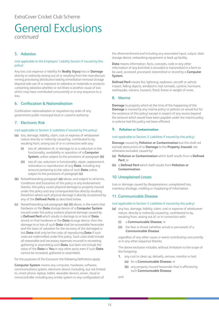### General Exclusions *continued*

### 5. Asbestos

### (not applicable to the Employers' Liability Section if insured by this policy)

Any loss cost expense or liability for **Bodily Injury** loss or **Damage** directly or indirectly arising out of or resulting from the manufacture mining processing distribution testing remediation removal storage disposal sale use of or exposure to asbestos or materials or products containing asbestos whether or not there is another cause of loss which may have contributed concurrently or in any sequence to a loss.

### 6. Confiscation & Nationalisation

Confiscation nationalisation or requisition by order of any government public municipal local or customs authority.

### 7. Electronic Risk

### (not applicable to Section 3: Liabilities if insured by this policy)

- **(a)** loss, damage, liability, claim, cost or expense of whatsoever nature directly or indirectly caused by, contributed to by, resulting from, arising out of or in connection with any:
	- **(i)** loss of, alteration of, or damage to or a reduction in the functionality, availability or operation of a **Computer System**, unless subject to the provisions of paragraph **(b)**
	- **(ii)** loss of use, reduction in functionality, repair, replacement, restoration or reproduction of any **Data**, including any amount pertaining to the value of such **Data** unless subject to the provisions of paragraph **(c)**
- **(b)** Notwithstanding paragraph **(a)** above, and subject to all terms, Conditions and Exclusions of this policy or any endorsement thereto, this policy covers physical damage to property insured under this policy and any consequential loss directly resulting therefrom where such physical damage is directly occasioned by any of the **Defined Perils** as described below.
- **(c)** Notwithstanding sub paragraph **(a) (ii)** above, in the event that hardware or the **Data** storage device of a **Computer System** insured under this policy sustains physical damage caused by a **Defined Peril** which results in damage to or loss of **Data** stored on that hardware or the **Data** storage device, then the damage to or loss of such **Data** shall be recoverable hereunder and the basis of valuation for the recovery of the damaged or lost **Data** shall only be the costs of reproducing **Data** if such costs are indemnified under this policy. Such costs shall include all reasonable and necessary expenses incurred in recreating, gathering or assembling such **Data**, but does not include the value of the **Data** to **You** or any other party even if such **Data** cannot be recreated, gathered or assembled.

For the purposes of this Exclusion the following Definitions apply:

**Computer System** means any computer, hardware, software, communications system, electronic device (including, but not limited to, smart phone, laptop, tablet, wearable device), server, cloud or microcontroller including any similar system or any configuration of

the aforementioned and including any associated input, output, data storage device, networking equipment or back up facility.

**Data** means information, facts, concepts, code or any other information of any kind that is recorded or transmitted in a form to be used, accessed, processed, transmitted or stored by a **Computer System**.

**Defined Peril** means fire, lightning, explosion, aircraft or vehicle impact, falling objects, windstorm, hail, tornado, cyclone, hurricane, earthquake, volcano, tsunami, flood, freeze or weight of snow.

### 8. Marine

**Damage** to property which at the time of the happening of the **Damage** is insured by any marine policy or policies (or would but for the existence of this policy) except in respect of any excess beyond the amount which would have been payable under the marine policy or policies had this policy not been effected.

### 9. **Pollution or Contamination**

### (not applicable to Section 3: Liabilities if insured by this policy)

**Damage** caused by **Pollution or Contamination** but this shall not exclude destruction of or **Damage** to the **Property Insured**, not otherwise excluded, caused by:

- **(a) Pollution or Contamination** which itself results from a **Defined Peril**; or
- **(b)** a **Defined Peril** which itself results from **Pollution or Contamination**.

### 10. Unexplained Losses

Loss or damage caused by disappearance, unexplained loss, inventory shortage, misfiling or misplacing of information.

### 11. Communicable Disease

### (not applicable to Section 3: Liabilities if insured by this policy)

- **(a)** any loss, damage, liability, claim, cost or expense of whatsoever nature, directly or indirectly caused by, contributed to by, resulting from, arising out of, or in connection with:
	- **(i)** a **Communicable Disease**; or
	- **(ii)** the fear or threat (whether actual or perceived) of a **Communicable Disease**

regardless of any other cause or event contributing concurrently or in any other sequence thereto.

The above exclusion includes, without limitation to the scope of the foregoing:

- **1.** any cost to clean up, detoxify, remove, monitor or test:
	- **(a)** for a **Communicable Disease**; or
	- **(b)** any property insured hereunder that is affected by such **Communicable Disease**,

and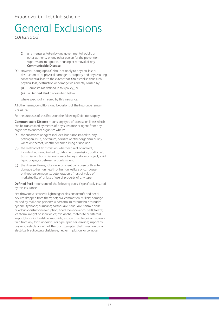### ExtraCover Cricket Club Scheme

### General Exclusions *continued*

- **2.** any measures taken by any governmental, public or other authority or any other person for the prevention, suppression, mitigation, cleaning or removal of any **Communicable Disease**.
- **(b)** However, paragraph **(a)** shall not apply to physical loss or destruction of, or physical damage to, property and any resulting consequential loss, to the extent that **You** establish that such physical loss, destruction or damage was directly caused by:
	- **(i)** Terrorism (as defined in this policy), or
	- **(ii)** a **Defined Peril** as described below

where specifically insured by this insurance.

All other terms, Conditions and Exclusions of the insurance remain the same.

For the purposes of this Exclusion the following Definitions apply:

**Communicable Disease** means any type of disease or illness which can be transmitted by means of any substance or agent from any organism to another organism where:

- **(a)** the substance or agent includes, but is not limited to, any pathogen, virus, bacterium, parasite or other organism or any variation thereof, whether deemed living or not, and
- **(b)** the method of transmission, whether direct or indirect, includes but is not limited to, airborne transmission, bodily fluid transmission, transmission from or to any surface or object, solid, liquid or gas, or between organisms, and
- **(c)** the disease, illness, substance or agent can cause or threaten damage to human health or human welfare or can cause or threaten damage to, deterioration of, loss of value of, marketability of or loss of use of property of any type.

**Defined Peril** means one of the following perils if specifically insured by this insurance:

Fire (howsoever caused); lightning; explosion; aircraft and aerial devices dropped from them; riot; civil commotion; strikers; damage caused by malicious persons; windstorm; rainstorm; hail; tornado; cyclone; typhoon; hurricane; earthquake; seaquake; seismic and/ or volcanic disturbance/eruption; flood (howsoever caused); freeze; ice storm; weight of snow or ice; avalanche; meteorite or asteroid impact; landslip; landslide; mudslide; escape of water, oil or hydraulic fluid from any tank, apparatus or pipe; sprinkler leakage; impact by any road vehicle or animal; theft or attempted theft; mechanical or electrical breakdown; subsidence; heave; implosion; or collapse.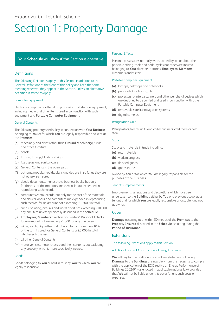# <span id="page-18-0"></span>Section 1: Property Damage

### **Your Schedule** will show if this Section is operative

### **Definitions**

The following Definitions apply to this Section in addition to the General Definitions at the front of this policy and keep the same meaning wherever they appear in the Section, unless an alternative definition is stated to apply.

### Computer Equipment

Electronic computer or other data processing and storage equipment, including media and other items used in conjunction with such equipment and **Portable Computer Equipment**.

### General Contents

The following property used solely in connection with **Your Business**, belonging to **You** or for which **You** are legally responsible and kept at the **Premises**:

- **(a)** machinery and plant (other than **Ground Machinery**), trade and office furniture
- **(b) Stock**
- **(c)** fixtures, fittings, blinds and signs
- **(d)** fixed glass and sanitaryware
- **(e)** General Contents in the open yards
- **(f)** patterns, models, moulds, plans and designs in so far as they are not otherwise insured
- **(g)** deeds, documents, manuscripts, business books, but only for the cost of the materials and clerical labour expended in reproducing such records
- **(h)** computer system records, but only for the cost of the materials, and clerical labour and computer time expended in reproducing such records, for an amount not exceeding £10,000 in total
- **(i)** curios, painting, pictures and works of art not exceeding £10,000 any one item unless specifically described in the **Schedule**
- **(j) Employees**, **Members** directors and visitors' **Personal Effects** for an amount not exceeding £1,000 for any one person
- **(k)** wines, spirits, cigarettes and tobacco for no more than 10% of the sum insured for General Contents or £5,000 in total, whichever is the less
- **(l)** all other General Contents
- **(m)** motor vehicles, motor chassis and their contents but excluding any property which is more specifically insured.

### Goods

Goods belonging to **You** or held in trust by **You** for which **You** are legally responsible.

### Personal Effects

Personal possessions normally worn, carried by, on or about the person, clothing, tools and pedal cycles not otherwise insured, belonging to **Your** directors, partners, **Employees**, **Members**, customers and visitors.

### Portable Computer Equipment

- **(a)** laptops, palmtops and notebooks
- **(b)** personal digital assistants
- **(c)** projectors, printers, scanners and other peripheral devices which are designed to be carried and used in conjunction with other Portable Computer Equipment
- **(d)** removable satellite navigation systems
- **(e)** digital cameras.

### Refrigeration Unit

Refrigerators, freezer units and chiller cabinets, cold room or cold store.

### Stock

Stock and materials in trade including:

- **(a)** raw materials
- **(b)** work in progress
- **(c)** finished goods
- **(d)** goods in trust

owned by **You** or for which **You** are legally responsible for the purposes of the **Business**.

### Tenant's Improvements

Improvements, alterations and decorations which have been undertaken to the **Buildings** either by **You** or a previous occupier, as tenant and for which **You** are legally responsible as occupier and not as owner.

### Cover

**Damage** occurring at or within 50 metres of the **Premises** to the **Property Insured** described in the **Schedule** occurring during the **Period of Insurance**.

### **Extensions**

The following Extensions apply to this Section.

### Additional Costs of Construction – Energy Efficiency

**We** will pay for the additional costs of reinstatement following **Damage** to the **Buildings** arising solely from the necessity to comply with the application of the EC Directive on Energy Performance of Buildings 2002/91 (as enacted in applicable national law) provided that **We** will not be liable under this cover for any such costs or expenses: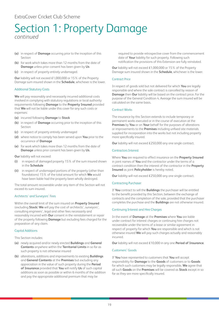- **(a)** in respect of **Damage** occurring prior to the inception of this Section
- **(b)** for work which takes more than 12 months from the date of **Damage** unless prior consent has been given by **Us**
- **(c)** in respect of property entirely undamaged.

**Our** liability will not exceed £1,000,000 or 15% of the Property Damage sum insured shown in the **Schedule**, whichever is the lower.

### Additional Statutory Costs

**We** will pay reasonably and necessarily incurred additional costs involved in complying with statutory regulations or local authority requirements following **Damage** to the **Property Insured** provided that **We** will not be liable under this cover for any such costs or expenses:

- **(a)** incurred following **Damage** to **Stock**
- **(b)** in respect of **Damage** occurring prior to the inception of this Section
- **(c)** in respect of property entirely undamaged
- **(d)** where notice to comply has been served upon **You** prior to the occurrence of **Damage**
- **(e)** for work which takes more than 12 months from the date of **Damage** unless prior consent has been given by **Us**.

### **Our** liability will not exceed:

- **(i)** in respect of damaged property 15% of the sum insured shown in the **Schedule**
- **(ii)** in respect of undamaged portions of the property (other than foundations) 15% of the total amount for which **We** would have been liable had the property been wholly destroyed.

The total amount recoverable under any item of this Section will not exceed its sum insured.

### Architects' and Surveyors' Fees

Within the overall limit of the sum insured on **Property Insured** (excluding **Stock**) **We** will pay the cost of architects', surveyors', consulting engineers', legal and other fees necessarily and reasonably incurred with **Our** consent in the reinstatement or repair of the property following **Damage** but excluding fees charged for the preparation of any claim.

### Capital Additions

This Section includes:

- **(a)** newly acquired and/or newly erected **Buildings** and **General Contents** anywhere within the **Territorial Limits** in so far as such property is not otherwise insured
- **(b)** alterations, additions and improvements to existing **Buildings** and **General Contents** at the **Premises** but excluding any appreciation in the value of such property during the **Period of Insurance** provided that **You** will notify **Us** of such capital additions as soon as possible or within 6 months of the addition and pay the appropriate additional premium that may be

required to provide retrospective cover from the commencement date of **Your** liability for such property. Following such notification the provisions of this Extension are fully reinstated.

**Our** liability will not exceed £1,000,000 or 15% of the Property Damage sum insured shown in the **Schedule**, whichever is the lower.

### Contract Price

In respect of goods sold but not delivered for which **You** are legally responsible and where the sale contract is cancelled by reason of **Damage** then **Our** liability will be based on the contract price. For the purpose of the General Condition 4. Average the sum insured will be calculated on the same basis.

### Contract Works

The insurance by this Section extends to include temporary or permanent works executed or in the course of execution at the **Premises** by **You** or on **Your** behalf for the purposes of alterations or improvements to the **Premises** including unfixed site materials supplied for incorporation into the works but not including property more specifically insured.

**Our** liability will not exceed £250,000 any one single contract.

### Contractors Interest

Where **You** are required to effect insurance on the **Property Insured** in joint names of **You** and the contractor under the terms of a contract condition then the interest of the contractor in the **Property Insured** as joint **Policyholder** is hereby noted.

**Our** liability will not exceed £250,000 any one single contract.

### Contracting Purchaser

If **You** contract to sell the **Buildings** the purchaser will be entitled to the benefit provided by this Section, between the exchange of contracts and the completion of the sale, provided that the purchaser completes the purchase and the **Buildings** are not otherwise insured.

### Continuing Interest and Hire Charges

In the event of **Damage** at the **Premises** where **You** are liable under contract for interest charges or continuing hire charges not recoverable under the terms of a lease or similar agreement in respect of property for which **You** are responsible and which is not otherwise insured **We** will pay such charges actually and reasonably incurred.

**Our** liability will not exceed £10,000 in any one **Period of Insurance**.

### Customers' Goods

If **You** have represented to customers that **You** will accept responsibility for **Damage** to the **Goods** of customers or to **Goods** for which such customers may be legally responsible, **We** agree that all such **Goods** on the **Premises** will be covered as **Stock** except in so far as they are more specifically insured.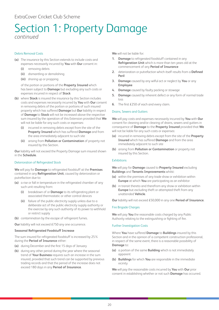### Debris Removal Costs

- **(a)** The insurance by this Section extends to include costs and expenses necessarily incurred by **You** with **Our** consent in:
	- **(i)** removing debris
	- **(ii)** dismantling or demolishing
	- **(iii)** shoring up or propping

of the portion or portions of the **Property Insured** which has been subject to **Damage** but excluding any such costs or expenses incurred in respect of **Stock**

- **(b)** where **Stock** is insured the insurance by this Section includes costs and expenses necessarily incurred by **You** with **Our** consent in removing debris of the portion or portions of such insured property which has suffered **Damage** but **Our** liability in respect of **Damage** to **Stock** will not be increased above the respective sum insured by the operation of this Extension provided that **We** will not be liable for any such costs or expenses:
	- **(i)** incurred in removing debris except from the site of the **Property Insured** which has suffered **Damage** and from the area immediately adjacent to such site
	- **(ii)** arising from **Pollution or Contamination** of property not insured by this Section.

**Our** liability will not exceed the Property Damage sum insured shown in the **Schedule**.

### Deterioration of Refrigerated Stock

**We** will pay for **Damage** to refrigerated foodstuff at the **Premises** contained in any **Refrigeration Unit**, caused by deterioration or putrefaction due to:

- **(a)** a rise or fall in temperature in the refrigerated chamber of any such unit resulting from:
	- **(i)** breakdown of or **Damage** to its refrigerating plant or associated thermostatic or other control devices
	- **(ii)** failure of the public electricity supply unless due to a deliberate act of the public electricity supply authority or the exercise by any such authority of its power to withhold or restrict supply
- **(b)** contamination by the escape of refrigerant fumes.

**Our** liability will not exceed £750 any one occurrence.

### **Seasonal Refrigerated Foodstuff Increase**

The sum insured for refrigerated foodstuff is increased by 25% during the **Period of Insurance** either:

- **(a)** during December and the first 15 days of January
- **(b)** during any other period during the year where the seasonal trend of **Your Business** requires such an increase in the sum insured, provided that such trend can be supported by previous trading records and that the period of the increase does not exceed 180 days in any **Period of Insurance**.

**We** will not be liable for:

- **1. Damage** to refrigerated foodstuff contained in any **Refrigeration Unit** which is more than ten years old at the commencement of any **Period of Insurance**
- **2.** deterioration or putrefaction which itself results from a **Defined Peril**
- **3. Damage** caused by any wilful act or neglect by **You** or any **Employee**
- **4. Damage** caused by faulty packing or stowage
- **5. Damage** caused by inherent defect or any form of normal trade loss
- **6.** The first £250 of each and every claim.

### Drains, Sewers and Gutters

**We** will pay costs and expenses necessarily incurred by **You** with **Our** consent for cleaning and/or clearing of drains, sewers and gutters in consequence of **Damage** to the **Property Insured** provided that **We** will not be liable for any such costs or expenses:

- **(a)** incurred in removing debris except from the site of the **Property Insured** which has suffered **Damage** and from the area immediately adjacent to such site
- **(b)** arising from **Pollution or Contamination** or property not insured by this Section.

### Exhibitions

**We** will pay for **Damage** caused to **Property Insured** excluding **Buildings** and **Tenants Improvements** whilst:

- **(a)** within the premises of any trade show or exhibition within **Europe** at which **You** are participating as an exhibitor
- **(b)** in transit thereto and therefrom any show or exhibition within **Europe** but excluding theft or attempted theft from any unattended **Vehicle**.

**Our** liability will not exceed £50,000 in any one **Period of Insurance**.

### Fire Brigade Charges

**We** will pay **You** the reasonable costs charged by any Public Authority relating to the extinguishing or fighting of fire.

### Further Investigation Costs

Where **You** have suffered **Damage** to **Buildings** insured by this Section and in the opinion of a competent construction professional, in respect of the same event, there is a reasonable possibility of **Damage** to:

- **(a)** a portion of the same **Building** which is not immediately apparent
- **(b) Buildings** for which **You** are responsible in the immediate vicinity

**We** will pay the reasonable costs incurred by **You** with **Our** prior consent in establishing whether or not such **Damage** has occurred.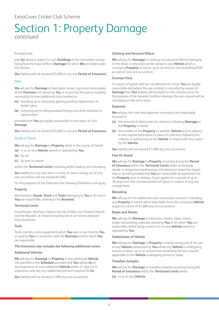### Provided that:

part **(b)** above is subject to such **Buildings** in the immediate vicinity being found to have suffered **Damage** for which **We** are liable under this Section.

**Our** liability will not exceed £25,000 in any one **Period of Insurance**.

### Glass

**We** will pay for **Damage** to fixed glass, lamps, signs and name plates at the **Premises** not owned by **You** or insured by this policy including necessarily incurred additional costs involved in:

- **(a)** boarding up or temporary glazing pending replacement of broken glass
- **(b)** removing and re-fixing window fittings and other obstacles to replacement

provided that **You** are legally responsible for the repair of such **Damage**.

**Our** liability will not exceed £25,000 in any one **Period of Insurance**.

### Goods in Transit

**We** will pay for **Damage** to **Property** whilst in the course of transit:

- **(a)** in or on any **Vehicle** owned or operated by **You**
- **(b)** by rail
- **(c)** by post or courier

within the **Territorial Limits**, including whilst loading and unloading.

**Our** liability for any one claim or series of claims arising out of any one occurrence will not exceed £1,000.

For the purposes of this Extension the following Definitions will apply:

### **Property**

Merchandise, **Goods**, **Stock** and **Tools** belonging to **You** or for which **You** are responsible, relating to the **Business**.

### **Territorial Limits**

Great Britain, Northern Ireland, the Isle of Man, the Channel Islands and the Republic of Ireland including sea or air transits between these territories.

### **Tools**

Tools, tool kits or test equipment which **You** own or are hired by **You** or used by **You** in connection with the **Business** and for which **You** are responsible.

### **This Extension also includes the following additional covers:**

### **Additional Vehicles**

**We** will pay for **Damage** to **Property** in any additional **Vehicle** not specified in the **Schedule** provided that **You** advise **Us** of the acquisition of such additional **Vehicle** within 21 days of its acquisition and pay any additional premium required by **Us**.

**Our** liability will not exceed £1,000 any one occurrence.

### **Clothing and Personal Effects**

**We** will pay for **Damage** to clothing and personal effects belonging to the driver or attendant whilst carried in any **Vehicle** which is conveying **Property** in transit, up to an amount not exceeding £500 per person any one occurrence.

### **Contract Price**

In respect of goods sold but not delivered for which **You** are legally responsible and where the sale contract is cancelled by reason of **Damage** then **Our** liability will be based on the contract price. For the purpose of the General Condition Average the sum insured will be calculated on the same basis.

### **Expenses**

**We** will pay the costs and expenses necessarily and reasonably incurred in:

- **(a)** the removal of debris and site clearance following **Damage** to the **Property** in transit
- **(b)** the transfer of the **Property** to another **Vehicle** and its delivery to the original destination or place of collection, following fire, collision or overturning of the **Vehicle** or impact with any object by the **Vehicle**

**Our** liability will not exceed £1,000 any one occurrence.

### **Free On Board**

**We** will pay for **Damage** to **Property** occurring during the **Period of Insurance** within the **Territorial Limits** whilst at dockside, airside or temporary warehousing until placed on board the export ship or aircraft provided that **You** are responsible by agreement for the **Property** prior to delivery. Cover applies for a period of up to 30 days from the commencement of transit in respect of any one consignment.

### **Reloading**

**We** will pay for the additional costs necessarily incurred in reloading any **Property** in transit which have fallen from the conveying **Vehicle** subject to a limit of £1,000 any one occurrence.

### **Ropes and Sheets**

**We** will pay for **Damage** to tarpaulins, sheets, ropes, chains, straps and packing materials owned by **You** or for which **You** are responsible, whilst being carried in or on any **Vehicle** owned or operated by **You**.

### **Substitution of Vehicle**

**We** will pay for **Damage** to **Property** in transit arising out of the use of any **Vehicle** substituted by **You** whilst any **Vehicle** is undergoing service or repair, up to an amount not exceeding the sum insured applicable to the **Vehicle** undergoing service or repair.

### **Travellers Samples**

**We** will pay for **Damage** to travellers samples occurring during the **Period of Insurance** within the **Territorial Limits** whilst:

**(a)** in or on any **Vehicle**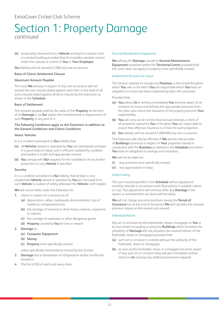**(b)** temporarily removed from a **Vehicle** and kept in a locked room or a locked building provided that the travellers samples remain under the custody or control of **You** or **Your Employee**.

**Our** liability will not exceed £1,000 any one occurrence.

### **Basis of Claims Settlement Clauses**

### **Maximum Amount Payable**

The most **We** will pay in respect of any one occurrence will not exceed the sum insured stated against each item or the total of all sums insured stated against all items insured by this Extension as shown in the **Schedule**.

### **Basis of Settlement**

The amount payable shall be the value of the **Property** at the time of its **Damage** or at **Our** option the reinstatement or replacement of such **Property** or any part of it.

### **The following Conditions apply to this Extension in addition to the General Conditions and Claims Conditions.**

### **Motor Vehicles**

- It is a condition precedent to **Our** liability that:
- **(a)** all **Vehicles** owned or operated by **You** are maintained and kept in a good state of repair and in efficient roadworthy condition and loaded in a safe and appropriate manner
- **(b) You** comply with **Our** requests for the installation of any further protections to any **Vehicle** if specified.

### **Security**

It is a condition precedent to **Our** liability that all keys to any unattended **Vehicle** owned or operated by **You** are removed from such **Vehicle** to a place of safety whenever the **Vehicle** is left loaded.

**We** will not be liable under this Extension for:

- **1.** claims in respect of or arising out of:
	- **(a)** depreciation, delay, inadequate documentation, loss of market or consequential loss
	- **(b)** the carriage of livestock or other living creatures, organisms or cultures
	- **(c)** the carriage of explosives or other dangerous goods
	- **(d) Property** carried by **You** for hire or reward
- **2. Damage** to:
	- **(a) Computer Equipment**
	- **(b) Money**
	- **(c) Property** more specifically insured

unless specifically mentioned as insured by this Section

- **3. Damage** due to breakdown of refrigeration and/or insufficient insulation
- **4.** The first £250 of each and every claim.

### Ground Maintenance Equipment

**We** will pay for **Damage** caused to **Ground Maintenance Equipment** anywhere within the **Territorial Limits** provided that this cover does not apply to property more specifically insured.

### Inadvertent Omission to Insure

This Section extends to include any **Premises** in the United Kingdom which **You** own or for which **You** are responsible which **You** have an obligation to insure but have inadvertently been left uninsured.

Provided that:

- **(a) You** advise **Us** in writing immediately **You** become aware of an omission to insure and will pay the appropriate premium from the date upon which the insurance of the property became **Your** responsibility
- **(b) You** will carry out at not less than annual intervals a check of all properties owned by **You** or for which **You** are responsible to ensure that effective insurance is in force for such properties
- **(c) Our** liability will not exceed £1,000,000 any one occurrence.

This Extension will only be effective if **We** are the sole provider of **Buildings** Insurance in respect of **Your** properties owned in connection with the **Business** as defined in the **Schedule** and where **You** have an obligation to arrange such insurance.

**We** will not be liable for:

- **(i)** any premises more specifically insured
- **(ii)** any appreciation in value.

### Index Linking

The sum insured specified in the **Schedule** will be adjusted at monthly intervals in accordance with fluctuations in suitable indices of cost. This adjustment will continue after any **Damage** if the repairs or reinstatement are done without delay.

**We** will not charge any extra premium during the **Period of Insurance** but at the end of the period **We** will calculate the renewal premium based on the revised sum insured.

### Interested Parties

Any act or omission by the leaseholder, lessee, mortgagor or **You** or by any tenant occupying or using the **Buildings** which increases the possibility of **Damage** will not prejudice the insured interest of the freeholder, lessor or mortgagee provided that:

- **(a)** such act or omission is entirely without the authority of the freeholder, lessor or mortgagee
- **(b)** as soon as the freeholder, lessor or mortgagee becomes aware of any such act or omission they will give immediate written notice to **Us** and pay any additional premium required.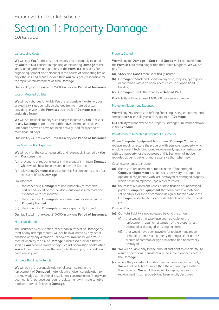### Landscaping Costs

**We** will pay **You** for the costs necessarily and reasonably incurred by **You** with **Our** consent in repairing or reinstating **Damage** to the landscaped gardens and grounds at the **Premises** caused by fire brigade equipment and personnel in the course of combating fire or any other insured event provided that **You** are legally responsible for the repair or reinstatement of such **Damage**.

**Our** liability will not exceed £25,000 in any one **Period of Insurance**.

### Loss of Metered Utilities

**We** will pay charges for which **You** are responsible if water, oil, gas or electricity is accidentally discharged from a metered system providing service to the **Premises** as a result of **Damage** insured under this Section.

**We** will not be liable for any such charges incurred by **You** in respect of any **Buildings** or part thereof that have become unoccupied, untenanted or which have not been actively used for a period of more than 30 days.

**Our** liability will not exceed £25,000 in any one **Period of Insurance**.

### Loss Minimisation Expenses

**We** will pay for the costs necessarily and reasonably incurred by **You** with **Our** consent in:

- **(a)** preventing or reducing losses in the event of imminent **Damage** which would have been insured under this Section
- **(b)** alleviating **Damage** insured under this Section during and after the event of such **Damage**

Provided that:

- **(i)** the impending **Damage** was not reasonably foreseeable earlier and would be the inevitable outcome if such costs and expenses were not incurred
- **(ii)** the impending **Damage** did not arise from any defect in the **Property Insured**
- **(iii)** the impending **Damage** is not more specifically insured.

**Our** liability will not exceed £10,000 in any one **Period of Insurance**.

### Non-invalidation

The insurance by this Section, other than in respect of **Damage** by theft or any attempt thereat, will not be invalidated by any act or omission or by any alteration unknown to **You** and beyond **Your** control whereby the risk of **Damage** is increased provided that as soon as **You** become aware of any such act or omission or alteration **You** will give immediate written notice to **Us** and pay any additional premium required.

### Obsolete Building Materials

**We** will pay the reasonable additional cost incurred in the replacement of **Damaged** materials which given consideration to the knowledge at the time of installation, construction or fitting were deemed fit for purpose but require replacement with more suitable modern materials following **Damage**.

### Property Stored

**We** will pay for **Damage** to **Stock** and **Goods** whilst removed from the **Premises** but remaining within the United Kingdom. **We** will not pay for:

- **(a) Stock** and **Goods** more specifically insured
- **(b) Damage** to **Stock** and **Goods** in any yard, car park, open space or contained within an open sided structure or open sided building
- **(c) Damage** caused other than by a **Defined Peril**.

**Our** liability will not exceed £100,000 any one occurrence.

### Protection Equipment Expenses

**We** will pay **You** the cost of refilling fire extinguishing equipment and smoke cloaks used solely as a consequence of **Damage**.

**Our** liability will not exceed the Property Damage sum insured shown in the **Schedule**.

#### Reinstatement to Match (Computer Equipment)

Where **Computer Equipment** has suffered **Damage**, **You** may replace, repair or restore the property with equivalent property which employs current technology, and replacement, repair or restoration with such property for the purposes of this Section shall not be regarded as being better or more extensive than when new.

Cover also extends to include:

- **(a)** the cost of replacement or modification of undamaged **Computer Equipment** insofar as it is necessary to adapt it to operate in conjunction with lost, destroyed or damaged property which has been replaced, repaired or restored
- **(b)** the cost of replacement, repair or modification of undamaged parts of **Computer Equipment** that form part of a matching set of articles, or suite of common design or function where the **Damage** is restricted to a clearly identifiable area or to a specific part.

#### Provided that:

- **(a) Our** total liability is not increased beyond the amount:
	- **(i)** that would otherwise have been payable for the replacement, repair or restoration of the property lost, destroyed or damaged in its original form
	- **(ii)** that would have been payable for replacement, repair or modification if such property forming a set of articles, or suite of common design or function had been wholly destroyed
- **(b) We** will be liable only for the amount sufficient to enable **You** to resume operations in substantially the same manner as before the **Damage**
- **(c)** where the property is lost, destroyed or damaged in part only, **We** will not be liable for more than the amount representing the cost which **We** would have paid for repair, restoration or replacement if such property had been wholly destroyed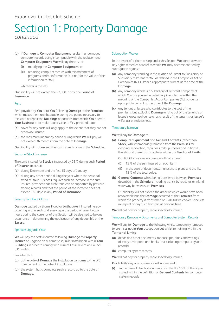- **(d)** if **Damage** to **Computer Equipment** results in undamaged computer records being incompatible with the replacement **Computer Equipment**, **We** will pay the cost of:
	- **(i)** modifying the **Computer Equipment**; or
	- **(ii)** replacing computer records with reinstatement of programs and/or information (but not for the value of the information to **You**)

whichever is the less

**Our** liability will not exceed the £2,500 in any one **Period of Insurance**.

### Rent

Rent payable by **You** or to **You** following **Damage** to the **Premises** which makes them uninhabitable during the period necessary to reinstate or repair the **Buildings** or portions from which **You** operate **Your Business** or to make it accessible to **You** provided that:

- **(a)** cover for any costs will only apply to the extent that they are not otherwise insured
- **(b)** the maximum indemnity period during which **We** will pay will not exceed 36 months from the date of **Damage**.

**Our** liability will not exceed the sum insured shown in the **Schedule**.

### Seasonal Stock Increase

The sums insured for **Stock** is increased by 25% during each **Period of Insurance** either:

- **(a)** during December and the first 15 days of January
- **(b)** during any other period during the year where the seasonal trend of **Your Business** requires such an increase in the sum insured, provided that such trend can be supported by previous trading records and that the period of the increase does not exceed 180 days in any **Period of Insurance**.

### Seventy Two Hour Clause

**Damage** caused by Storm, Flood or Earthquake if insured hereby occurring within each and every separate period of seventy-two hours during the currency of this Section will be deemed to be one occurrence in determining the application of any deductible or the **Excess**.

### Sprinkler Upgrade Costs

**We** will pay the costs incurred following **Damage** to **Property Insured** to upgrade an automatic sprinkler installation within **Your Buildings** in order to comply with current Loss Prevention Council (LPC) rules.

Provided that:

- **(a)** at the date of **Damage** the installation conforms to the LPC rules current at the date of installation
- **(b)** the system has a complete service record up to the date of **Damage**.

### Subrogation Waiver

In the event of a claim arising under this Section **We** agree to waive any rights remedies or relief to which **We** may become entitled by subrogation against:

- **(a)** any company standing in the relation of Parent to Subsidiary or Subsidiary to Parent to **You** as defined in the Companies Act or Companies (N.I.) Order as appropriate current at the time of the **Damage**
- **(b)** any company which is a Subsidiary of a Parent Company of which **You** are yourself a Subsidiary in each case within the meaning of the Companies Act or Companies (N.I.) Order as appropriate current at the time of the **Damage**
- **(c)** any tenant or lessee who contributes to the cost of the premiums but excluding **Damage** arising out of the tenant's or lessee's gross negligence or as a result of the tenant's or lessee's wilful act or recklessness.

### Temporary Removal

**We** will pay for **Damage** to:

**(a) Computer Equipment** and **General Contents** (other than **Stock**) whilst temporarily removed from the **Premises** for cleaning, renovation, repair or similar purposes and in transit thereto and therefrom anywhere within the **Territorial Limits**.

**Our** liability any one occurrence will not exceed:

- **(i)** 15% of the sum insured on each item
- **(ii)** in the case of documents, manuscripts, plans and the like 15% of the total value.
- **(b) General Contents** whilst being transferred between **Premises** described in the **Schedule** including transit by road, rail or inland waterway between such **Premises**.

**Our** liability will not exceed the amount which would have been recoverable had the **Damage** occurred at the **Premises** from which the property is transferred or £50,000 whichever is the less in respect of any such transfers at any one time.

**We** will not pay for property more specifically insured.

### Temporary Removal – Documents and Computer System Records

**We** will pay for **Damage** to the following whilst temporarily removed to premises not in **Your** occupation but whilst remaining within the **Territorial Limits**:

- **(a)** deeds and other documents, manuscripts, plans and writings of every description and books (but excluding computer system records)
- **(b)** computer system records

**We** will not pay for property more specifically insured.

**Our** liability any one occurrence will not exceed:

**(i)** in the case of deeds, documents and the like 15% of the figure stated within the definition of **General Contents** for computer system records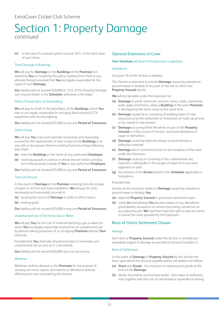**(ii)** in the case of computer system records 10% of the total value of such items.

### Theft Damage to Buildings

**We** will pay for **Damage** to the **Buildings** at the **Premises** not owned by **You** or insured by this policy resulting from theft or any attempt thereat provided that **You** are legally responsible for the repair of such **Damage**.

**Our** liability will not exceed £50,000 or 15% of the Property Damage sum insured shown in the **Schedule**, whichever is the lower.

### Theft of Fixed Fabric of the Building

**We** will pay for theft of the fixed fabric of the **Buildings**, which **You** own or are legally responsible for including fixed external CCTV equipment and security lighting.

**Our** liability will not exceed £25,000 in any one **Period of Insurance**.

### Theft of Keys

**We** will pay **You** costs and expenses necessarily and reasonably incurred for the replacement of locks or keys to the **Buildings** or to any safe or strongroom therein resulting from loss of keys following their theft:

- **(a)** from the **Buildings** or the home of any authorised **Employee**
- **(b)** involving assault or violence or threat thereof whilst such keys are in the personal custody of **You** or any authorised **Employee**.

**Our** liability will not exceed £25,000 in any one **Period of Insurance**.

### Trace and Access

In the event of **Damage** at the **Premises** resulting from the escape of water or oil from any fixed installation, **We** will pay for costs necessarily and reasonably incurred in:

- **(a)** locating the source of **Damage** in order to effect repairs
- **(b)** making good.

**Our** liability will not exceed £25,000 in any one **Period of Insurance**.

### Unauthorised Use of Electricity Gas or Water

**We** will pay **You** for the cost of metered electricity, gas or water for which **You** are legally responsible arising from its unauthorised use by persons taking possession of or occupying **Premises** without **Your** authority.

Provided that **You** shall take all practical steps to terminate such unauthorised use as soon as it is discovered.

**Our** liability will not exceed £50,000 any one occurrence.

### Workmen

Workmen shall be allowed on the **Premises** for the purpose of carrying out minor repairs, decorations or alterations without affecting the cover provided by this Section.

### Optional Extensions of Cover

### **Your Schedule** will show if this Extension is operative.

#### Subsidence

Exclusion 16 of this Section is deleted.

This Section is extended to include **Damage** caused by subsidence, ground heave or landslip of any part of the site on which the **Property Insured** stands.

**We** will not be liable under this Extension for:

- **(a) Damage** to yards, forecourts, terraces, drives, roads, pavements, walls, gates and fences unless a **Building** at the same **Premises** is damaged by the same cause at the same time
- **(b) Damage** caused by or consisting of bedding down of new structures or by the settlement or movement of made up ground or by coastal or river erosion
- **(c) Damage** occurring whilst the whole or part of the **Property Insured** is in the course of erection, structural alterations or repair or demolition
- **(d) Damage** caused by defective design or workmanship or defective materials
- **(e) Damage** which commenced prior to the inception of the cover under this Extension
- **(f) Damage** cause by or consisting of fire, subterranean fire, explosion, earthquake or the escape of water from any tank, apparatus or pipe
- **(g)** the amount of the **Excess** stated in the **Schedule** applicable to Subsidence

### Provided that:

Insofar as this insurance relates to **Damage** caused by subsidence, ground heave or landslip **You**:

- **(a)** keep the **Property Insured** in good and substantial repair
- **(b)** notify **Us** immediately **You** become aware of any demolition, groundworks, excavation or construction being carried out on any adjoining site. **We** shall then have the right to vary the terms or cancel the cover provided by this Extension.

### Basis of Claims Settlement Clauses

### Average

Each item of **Property Insured** under this Section is similarly but separately subject to Average as specified in General Condition 4.

### Basis of Settlement

In the event of **Damage** to **Property Insured** by this Section the basis upon which the amount payable will be calculated is as follows:

- **(a) Stock** and **Goods** the cost price of replacing the goods at the time of the **Damage**
- **(b)** deeds, documents and business books their value as stationery only together with the cost of clerical labour expended in writing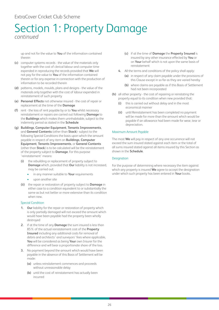up and not for the value to **You** of the information contained therein

- **(c)** computer systems records the value of the materials only together with the cost of clerical labour and computer time expended in reproducing the records provided that **We** will not pay for the value to **You** of the information contained therein or for any expense in connection with the production of information to be recorded therein
- **(d)** patterns, models, moulds, plans and designs the value of the materials only together with the cost of labour expended in reinstatement of such property
- **(e) Personal Effects** not otherwise insured the cost of repair or replacement at the time of the **Damage**
- **(f)** rent the loss of rent payable by or to **You** whilst necessary reinstatement or repairs are carried out following **Damage** to the **Buildings** which makes them uninhabitable, subject to the indemnity period as stated in the **Schedule**
- **(g) Buildings**, **Computer Equipment**, **Tenants Improvements**, and **General Contents** (other than **Stock**)- subject to the following Special Conditions the basis upon which the amount payable in respect of any item on **Buildings**, **Computer Equipment**, **Tenants Improvements**, or **General Contents** (other than **Stock**) is to be calculated will be the reinstatement of the property subject to **Damage**. For this purpose 'reinstatement' means:
	- **(i)** the rebuilding or replacement of property subject to **Damage** which, provided that **Our** liability is not increased, may be carried out:
		- in any manner suitable to **Your** requirements
		- upon another site
	- **(ii)** the repair or restoration of property subject to **Damage** in either case to a condition equivalent to or substantially the same as but not better or more extensive than its condition when new.

### Special Condition

- **1. Our** liability for the repair or restoration of property which is only partially damaged will not exceed the amount which would have been payable had the property been wholly destroyed
- **2.** if at the time of any **Damage** the sum insured is less than 85% of the actual reinstatement cost of the **Property Insured** including any additional costs for removal of debris and architects' and surveyors' fees where applicable, **You** will be considered as being **Your** own Insurer for the difference and will bear a proportionate share of the loss.
- **3.** No payment beyond the amount which would have been payable in the absence of this Basis of Settlement will be made:
	- **(a)** unless reinstatement commences and proceeds without unreasonable delay
	- **(b)** until the cost of reinstatement has actually been incurred
- **(c)** if at the time of **Damage** the **Property Insured** is insured by any other insurance effected by **You** or on **Your** behalf which is not upon the same basis of reinstatement
- **4.** All the terms and conditions of the policy shall apply:
	- **(a)** in respect of any claim payable under the provisions of this Clause except in so far as they are varied hereby
	- **(b)** where claims are payable as if this Basis of Settlement had not been incorporated
- **(h)** all other property the cost of repairing or reinstating the property equal to its condition when new provided that:
	- **(i)** this is carried out without delay and in the most economical manner
	- **(ii)** until Reinstatement has been completed no payment will be made for more than the amount which would be payable if an allowance had been made for wear, tear or depreciation.

### Maximum Amount Payable

The most **We** will pay in respect of any one occurrence will not exceed the sum insured stated against each item or the total of all sums insured stated against all items insured by this Section as shown in the **Schedule**.

### **Designation**

For the purpose of determining where necessary the item against which any property is insured **We** agree to accept the designation under which such property has been entered in **Your** books.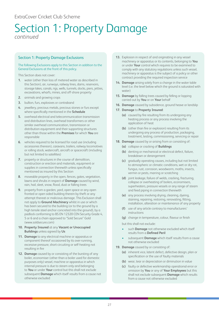### Section 1: Property Damage Exclusions

### The following Exclusions apply to this Section in addition to the General Exclusions at the front of this policy.

This Section does not cover:

- **1.** water (other than loss of metered water as described in this Section), air, runways, railway lines, dams, reservoirs, storage lakes, canals, rigs, wells, tunnels, docks, piers, jetties, excavations, wharfs, mines, and off-shore property
- **2.** animals and growing crops
- **3.** bullion, furs, explosives or contraband
- **4.** jewellery, precious metals, precious stones or furs except where specifically mentioned in the **Schedule**
- **5.** overhead electrical and telecommunication transmission and distribution lines, overhead transformers or other similar overhead communication, transmission or distribution equipment and their supporting structures other than those within the **Premises** for which **You** are responsible
- **6.** vehicles required to be licensed for road use (including accessories thereon), caravans, trailers, railway locomotives or rolling stock, watercraft, aircraft or spacecraft (including but not limited to satellites)
- **7.** property or structures in the course of demolition. construction or erection and materials, equipment or supplies in connection therewith unless specifically mentioned as insured by this Section
- **8.** moveable property in the open, fences, gates, vegetation, lawns and shrubs in respect of **Damage** caused by wind, rain, hail, sleet, snow, flood, dust or falling trees
- **9.** property from a garden, yard, open space or any open fronted or open sided building therein by theft or any attempt thereat or malicious damage. This Exclusion shall not apply to **Ground Machinery** whilst in use or which has been secured to the building (or to the ground by a high tensile steel anchor concreted into the ground), by a padlock conforming to BS EN 12320 CEN Security Grade 4, 5 or 6 and a chain approved to "Sold Secure" Gold (www.soldsecure.com)
- **10. Property Insured** at any **Vacant or Unoccupied Buildings** unless agreed by **Us**
- **11. Damage** to any electrical machine or apparatus or component thereof occasioned by its over-running, excessive pressure, short-circuiting or self-heating not resulting in fire
- **12. Damage** caused by or consisting of the bursting of any boiler, economiser (other than a boiler used for domestic purposes only) vessel, machine or apparatus in which internal pressure is due to steam only and belonging to **You** or under **Your** control but this shall not exclude subsequent **Damage** which itself results from a cause not otherwise excluded
- **13.** Explosion in respect of and originating in any vessel machinery or apparatus or its contents, belonging to **You** or under **Your** control which requires to be examined to comply with any statutory regulations unless such vessel, machinery or apparatus is the subject of a policy or other contract providing the required inspection service
- **14. Damage** arising solely from a change in the water table level (i.e. the level below which the ground is saturated with water)
- **15. Damage** by falling trees caused by felling or lopping carried out by **You** or on **Your** behalf
- **16. Damage** caused by subsidence, ground heave or landslip
- **17. Damage** to **Property Insured**:
	- **(a)** caused by fire resulting from its undergoing any heating process or any process involving the application of heat
	- **(b)** (other than fire or explosion) resulting from its undergoing any process of production, packaging, treatment, testing, commissioning, servicing or repair
- **18. Damage** caused by or arising from or consisting of:
	- **(a)** collapse or cracking of **Buildings**
	- **(b)** denting or mechanical or electrical defect, failure, breakdown or derangement
	- **(c)** gradually operating causes, including but not limited to atmospheric or climatic conditions, wet or dry rot, fungus, rust, corrosion, woodworm, moths, insects, vermin or pests, marring or scratching
	- **(d)** joint leakage, failure of welds, cracking, fracturing, collapse or overheating of boilers, economisers, superheaters, pressure vessels or any range of steam and feed piping in connection therewith
	- **(e)** any process involving drying, cleaning, dyeing, staining, repairing, restoring, renovating, fitting, installation, alteration or maintenance of any property
	- **(f)** use of any article contrary to manufacturers' instructions
	- **(g)** change in temperature, colour, flavour or finish
	- but this shall not exclude:
	- such **Damage** not otherwise excluded which itself results from a **Defined Peril**
	- subsequent **Damage** which itself results from a cause not otherwise excluded
- **19. Damage** caused by or consisting of:
	- **(a)** inherent vice, latent defect, defective design, plan or specification or the use of faulty materials
	- **(b)** wear, tear or depreciation or diminution in value
	- **(c)** faulty or defective workmanship operational error or omission by **You** or any of **Your Employees** but this shall not exclude subsequent **Damage** which results from a cause not otherwise excluded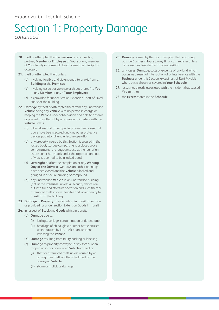### ExtraCover Cricket Club Scheme

### Section 1: Property Damage *continued*

- **20.** theft or attempted theft where **You** or any director, partner, **Member** or **Employee** of **Yours** or any member of **Your** family or household be concerned as principal or accessory
- **21.** theft or attempted theft unless:
	- **(a)** involving forcible and violent entry to or exit from a **Building** at the **Premises**
	- **(b)** involving assault or violence or threat thereof to **You** or any **Member** or any of **Your Employees**
	- **(c)** as provided for under Section Extension Theft of Fixed Fabric of the Building
- **22. Damage** by theft or attempted theft from any unattended **Vehicle** being any **Vehicle** with no person in charge or keeping the **Vehicle** under observation and able to observe or prevent any attempt by any person to interfere with the **Vehicle** unless:
	- **(a)** all windows and other openings have been closed, all doors have been secured and any other protective devices put into full and effective operation
	- **(b)** any property insured by this Section is secured in the locked boot, storage compartment or closed glove compartment; (the luggage space at the rear of an estate car or hatchback under the top cover and out of view is deemed to be a locked boot)
	- **(c) Overnight** or after the completion of any **Working Day of the Driver** all windows and other openings have been closed and the **Vehicle** is locked and garaged in a secure building or compound
	- **(d)** any unattended **Vehicle** in an unattended building (not at the **Premises**) unless all security devices are put into full and effective operation and such theft or attempted theft involves forcible and violent entry to or exit from the building
- **23. Damage** to **Property Insured** whilst in transit other than as provided for under Section Extension Goods in Transit
- **24.** in respect of **Stock** and **Goods** whilst in transit:
	- **(a) Damage** due to:
		- **(i)** leakage, spillage, contamination or deterioration
		- **(ii)** breakage of china, glass or other brittle articles unless caused by fire, theft or an accident involving the **Vehicle**
	- **(b) Damage** resulting from faulty packing or labelling
	- **(c) Damage** to property conveyed in any soft or open topped or soft or open sided **Vehicle** caused by:
		- **(i)** theft or attempted theft unless caused by or arising from theft or attempted theft of the conveying **Vehicle**
		- **(ii)** storm or malicious damage
- **25. Damage** caused by theft or attempted theft occurring outside **Business Hours** to any till or cash register unless its drawer has been left in an open position
- **26.** any losses, **Damage**, costs or expense of any kind which occurs as a result of interruption of or interference with the **Business** under this Section, except loss of Rent Payable where this is shown as covered in **Your Schedule**
- **27.** losses not directly associated with the incident that caused **You** to claim
- **28.** the **Excess** stated in the **Schedule**.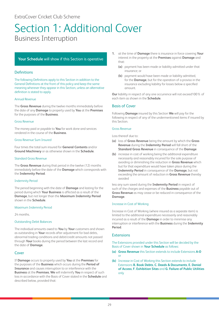### <span id="page-29-0"></span>Section 1: Additional Cover Business Interruption

### **Your Schedule** will show if this Section is operative

### **Definitions**

The following Definitions apply to this Section in addition to the General Definitions at the front of this policy and keep the same meaning wherever they appear in this Section, unless an alternative definition is stated to apply.

### Annual Revenue

The **Gross Revenue** during the twelve months immediately before the date of any **Damage** to property used by **You** at the **Premises** for the purposes of the **Business**.

### Gross Revenue

The money paid or payable to **You** for work done and services rendered in the course of the **Business**.

### Gross Revenue Sum Insured

Four times the total sum insured for **General Contents** and/or **Ground Machinery** or as otherwise shown in the **Schedule**.

### Standard Gross Revenue

The **Gross Revenue** during that period in the twelve (12) months immediately before the date of the **Damage** which corresponds with the **Indemnity Period**.

### Indemnity Period

The period beginning with the date of **Damage** and lasting for the period during which **Your Business** is affected as a result of the **Damage**, but not longer than the **Maximum Indemnity Period** shown in the **Schedule**.

### Maximum Indemnity Period

24 months.

### Outstanding Debit Balances

The individual amounts owed to **You** by **Your** customers and shown as outstanding in **Your** records after adjustment for bad debts, abnormal trading conditions and debit/credit amounts not passed through **Your** books during the period between the last record and the date of **Damage**.

### Cover

If **Damage** occurs to property used by **You** at the **Premises** for the purposes of the **Business** which occurs during the **Period of Insurance** and causes interruption to or interference with the **Business** at the **Premises**, **We** will indemnify **You** in respect of such loss in accordance with the Basis of Cover stated in the **Schedule** and described below, provided that:

- **1.** at the time of **Damage** there is insurance in force covering **Your** interest in the property at the **Premises** against **Damage** and that:
	- **(a)** payment has been made or liability admitted under that insurance; or
	- **(b)** payment would have been made or liability admitted, for the **Damage**, but for the operation of a proviso in the insurance excluding liability for losses below a specified amount.

**Our** liability in respect of any one occurrence will not exceed100% of each item as shown in the **Schedule**.

### Basis of Cover

Following **Damage** insured by this Section **We** will pay for the following in respect of any of the undermentioned items if insured by this Section.

### Gross Revenue

Loss thereof due to:

- **(a)** loss of **Gross Revenue** being the amount by which the **Gross Revenue** during the **Indemnity Period** will fall short of the **Standard Gross Revenue** in consequence of the **Damage**
- **(b)** increase in cost of working being the additional expenditure necessarily and reasonably incurred for the sole purpose of avoiding or diminishing the reduction in **Gross Revenue** which but for that expenditure would have taken place during the **Indemnity Period** in consequence of the **Damage**, but not exceeding the amount of reduction in **Gross Revenue** thereby avoided

less any sum saved during the **Indemnity Period** in respect of such of the charges and expenses of the **Business** payable out of **Gross Revenue** as may cease or be reduced in consequence of the **Damage**.

### Increase in Cost of Working

Increase in Cost of Working (where insured as a separate item) is limited to the additional expenditure necessarily and reasonably incurred as a result of the **Damage** in order to minimise any interruption or interference with the **Business** during the **Indemnity Period**.

### Extensions

The Extensions provided under this Section will be decided by the Basis of Cover shown in **Your Schedule** as follows:

- **(a) Gross Revenue** this Section extends to include Extensions **A-O** or
- **(b)** Increase in Cost of Working this Section extends to include Extensions **B. Book Debts**, **C. Deeds & Documents**, **E. Denial of Access**, **F. Exhibition Sites** and **G. Failure of Public Utilities** only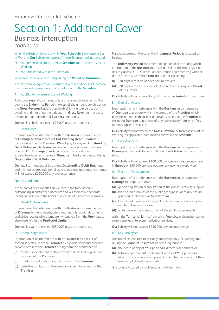# Section 1: Additional Cover Business Interruption

### *continued*

When the Basis of Cover shown in **Your Schedule** is Increase in Cost of Working **Our** liability in respect of these Extension will not exceed:

- **(a)** the sum insured stated in **Your Schedule** for Increase in Cost of **Working**
- **(b)** the limit stated within the Extension

whichever is the lower occurring during the **Period of Insurance**.

### Any limit shown against an Extension is within and does not increase the Business Interruption sum insured shown in the **Schedule**.

### A. Additional Increase in Cost of Working

Additional expenditure necessarily and reasonably incurred by **You** during the **Indemnity Period** in excess of the amount payable under the **Gross Revenue** basis (as applicable) for the sole purpose of avoiding or diminishing the reduction in **Gross Revenue** in order to resume or maintain normal **Business** operations.

**Our** liability shall not exceed £25,000 any one occurrence.

### B. Book Debts

Interruption of or interference with the **Business** in consequence of **Damage** to **Your** records of **Outstanding Debit Balances** contained within the **Premises**. **We** will pay for any net **Outstanding Debit Balances** which **You** are unable to recover from customers as a result of **Damage** to such records and any additional expenditure incurred after such **Damage** in tracing and establishing **Outstanding Debit Balances**.

**Our** liability in respect of loss of net **Outstanding Debit Balances**  and their associated additional expenditure and accountants charges will not exceed £250,000 any one occurrence.

### Special Condition

At the end of each month **You** will record the total amount outstanding in customer's accounts and will maintain a separate record, in addition to the books of account, at alternative premises.

### C. Deeds & Documents

Interruption of or interference with the **Business** in consequence of **Damage** to plans, deeds, briefs, manuscripts, books, documents and office records whilst temporarily removed from the **Premises** to elsewhere within the **Territorial Limits**.

**Our** liability will not exceed £250,000 any one occurrence.

### D. Compulsory Closure

Interruption of or interference with the **Business** as a result of compulsory closure of the **Premises** by a public body authorised to prevent access to the **Premises** arising from the occurrence of:

- **(a)** foreign or deleterious matter in food or drink sold, supplied or provided at the **Premises**
- **(b)** murder, manslaughter, suicide or rape at the **Premises**
- **(c)** defective sanitation or the presence of vermin or pests at the **Premises**.

For the purposes of the cover the **Indemnity Period** is restated as follows:

The **Indemnity Period** shall mean the period of time during which interruption to the **Business** occurs as a result of the matters set out at sub-clauses **(a)** – **(c)** (each 'an occurrence') commencing with the date of the closure of the **Premises** and not exceeding:

- **(i)** 30 days in respect of each occurrence and
- **(ii)** 30 days in total in respect of all occurrences in any one **Period of Insurance**

**Our** liability will not exceed £25,000 in any one **Period of Insurance**.

### E. Denial of Access

Interruption of or interference with the **Business** in consequence of **Damage** to property within 1 kilometre of the **Premises** which prevents or hinders the use of or prevents access to the **Premises** but excluding **Damage** to property of any public utility from which **You** obtain supplies or services.

**Our** liability will not exceed the **Gross Revenue** or Increase in Cost of Working (as applicable) sum insured shown in the **Schedule**.

### F. Exhibition Sites

Interruption of or interference with the **Business** in consequence of **Damage** at any trade fair or exhibition at which **You** are to occupy a stand.

**Our** liability will not exceed £100,000 any one occurrence anywhere in **Europe** or £50,000 any one occurrence anywhere worldwide.

### G. Failure of Public Utilities

Interruption of or interference with the **Business** in consequence of **Damage** to property at any:

- **(a)** generating station or sub-station of the public electricity supplier
- **(b)** land based premises of the public gas supplier or of any natural gas producer linked directly with them
- **(c)** land based premises of the public telecommunications supplier or internet service provider
- **(d)** waterworks or pumping station of the public water supplier

within the **Territorial Limits** from which **You** obtain electricity, gas or water supplies or telecommunication services.

**Our** liability will not exceed £250,000 any one occurrence.

### H. Key Employees

Additional expenditure necessarily and reasonably incurred by **You** during the **Period of Insurance** as a consequence of:

- **(a)** the death of any of **Your** principals, directors or partners; or
- **(b)** total and permanent disablement of any of **Your** principals, directors or partners which prevents them from carrying out their usual employment or occupation

due to injury caused by accidental and violent means.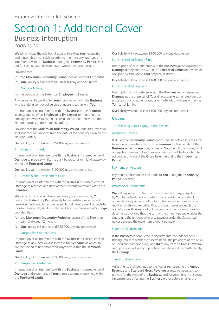### Section 1: Additional Cover Business Interruption *continued*

**We** will only pay the additional expenditure that **You** necessarily and reasonably incur solely in order to minimise any interruption or interference with the **Business**, during the **Indemnity Period**, which but for such additional expenditure would have taken place.

Provided that:

- **(a)** the **Maximum Indemnity Period** shall not exceed 12 months
- **(b) Our** liability will not exceed £100,000 any one occurrence.

### I. National Lottery

For the purpose of this Extension **Employee** shall mean:

Any person while working for **You** in connection with the **Business** who is under a contract of service or apprenticeship with **You**.

Interruption of or interference with the **Business** at the **Premises** in consequence of an **Employee** or **Employees** terminating their employment with **You** as a direct result of a confirmed win on the National Lottery in the United Kingdom.

Provided that the **Maximum Indemnity Period** under this Extension shall not exceed 3 months from the date of the confirmed win on the National Lottery.

**Our** liability will not exceed £25,000 any one occurrence.

### J. Property in Transit

Interruption of or interference with the **Business** in consequence of **Damage** to property whilst in transit by road, rail or inland waterway within the **Territorial Limits**.

**Our** liability will not exceed £100,000 any one occurrence.

### K. Research and Development Costs

Interruption of or interference with the **Business** in consequence of **Damage** to research and development records contained within the **Premises**.

**We** will pay the reasonable and necessary costs incurred by **You** during the **Indemnity Period** solely to re-constitute records and re-work projects and to restore research and development projects to a state substantially similar to that which existed before the **Damage** provided that:

- **(a)** the **Maximum Indemnity Period** in respect of this Extension will not exceed 12 months
- **(b) Our** liability will not exceed £25,000 any one occurrence.

### L. Unspecified Contract Sites

Interruption of or interference with the **Business** in consequence of **Damage** at any location not shown in the **Schedule** at which **You** are contracted to undertake work anywhere within the **Territorial Limits**.

**Our** liability will not exceed £100,000 any one occurrence.

### M. Unspecified Customers

Interruption of or interference with the **Business** in consequence of **Damage** at the premises of **Your** direct customers anywhere within the **Territorial Limits**.

**Our** liability will not exceed £100,000 any one occurrence.

### N. Unspecified Storage Sites

Interruption of or interference with the **Business** in consequence of **Damage** at any premise within the **Territorial Limits** not owned or occupied by **You** where **Your** property is stored.

**Our** liability will not exceed £100,000 any one occurrence.

### O. Unspecified Suppliers

Interruption of or interference with the **Business** in consequence of **Damage** at the premises of **Your** direct suppliers, manufacturers or processors of components, goods or materials anywhere within the **Territorial Limits**.

**Our** liability will not exceed £100,000 any one occurrence.

### Clauses

### The following Clauses apply to this Section.

### Alternative Trading

If during the **Indemnity Period** goods shall be sold or services shall be rendered elsewhere than at the **Premises** for the benefit of the **Business** either by **You** or by others on **Your** behalf the money paid or payable in respect of such sales or services shall be brought into account in arriving at the **Gross Revenue** during the **Indemnity Period**.

### Payments on Account

Payments on account will be made to **You** during the **Indemnity Period** if desired.

### Professional Accountants

**We** will pay under this Section the reasonable charges payable by **You** to professional accountants for producing any particulars or details or any other proofs, information or evidence as may be required by **Us** and reporting that such particulars or details are in accordance with **Your** books of account or other business books or documents provided that the sum of the amount payable under this clause and the amount otherwise payable under the Section will in no case exceed the maximum amount payable.

### Separate Departments

If the **Business** is conducted in departments, the independent trading results of which are ascertainable, the provisions of the Basis of Cover sub-paragraphs **(a)** and **(b)** of any item on **Gross Revenue** as appropriate will apply separately to each department affected by the **Damage**.

### Trends and Variations

Adjustments shall be made to the figures representing the **Annual Revenue** and **Standard Gross Revenue** as may be necessary to provide for the trend of the **Business**, and for variations in or special circumstances affecting the **Business**, either before or after the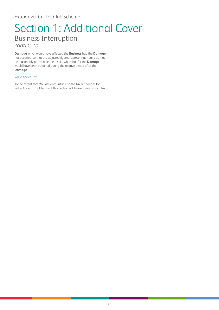### Section 1: Additional Cover Business Interruption *continued*

**Damage** which would have affected the **Business** had the **Damage** not occurred, so that the adjusted figures represent as nearly as may be reasonably practicable the results which but for the **Damage** would have been obtained during the relative period after the **Damage**.

### Value Added Tax

To the extent that **You** are accountable to the tax authorities for Value Added Tax all terms of this Section will be exclusive of such tax.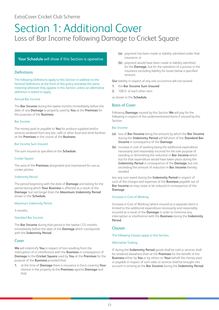### <span id="page-33-0"></span>Section 1: Additional Cover Loss of Bar Income following Damage to Cricket Square

### **Your Schedule** will show if this Section is operative

### **Definitions**

The following Definitions apply to this Section in addition to the General Definitions at the front of this policy and keep the same meaning wherever they appear in this Section, unless an alternative definition is stated to apply.

### Annual Bar Income

The **Bar Income** during the twelve months immediately before the date of any **Damage** to property used by **You** at the **Premises** for the purposes of the **Business**.

### Bar Income

The money paid or payable to **You** for produce supplied and/or services rendered from any bar, café or other food and drink facilities at the **Premises** in the course of the **Business**.

### Bar Income Sum Insured

The sum insured as specified on the **Schedule**.

### Cricket Square

The area of the **Premises** designated and maintained for use as cricket pitches.

### Indemnity Period

The period beginning with the date of **Damage** and lasting for the period during which **Your Business** is affected as a result of the **Damage**, but not longer than the **Maximum Indemnity Period** shown in the **Schedule**.

### Maximum Indemnity Period

3 months.

### Standard Bar Income

The **Bar Income** during that period in the twelve (12) months immediately before the date of the **Damage** which corresponds with the **Indemnity Period**.

### Cover

**We** will indemnify **You** in respect of loss resulting from the interruption of or interference with the **Business** in consequence of **Damage** to the **Cricket Square** used by **You** at the **Premises** for the purpose of the **Business** provided that:

**1.** at the time of **Damage** there is insurance in force covering **Your** interest in the property at the **Premises** against **Damage** and that:

- **(a)** payment has been made or liability admitted under that insurance; or
- **(b)** payment would have been made or liability admitted, for the **Damage**, but for the operation of a proviso in the insurance excluding liability for losses below a specified amount.

**Our** liability in respect of any one occurrence will not exceed:

- **1.** the **Bar Income Sum Insured**
- **2.** 100% of each other item

as shown in the **Schedule**.

### Basis of Cover

Following **Damage** insured by this Section **We** will pay for the following in respect of the undermentioned items if insured by this Section.

### Bar Income

- **(a)** loss of **Bar Income** being the amount by which the **Bar Income** during the **Indemnity Period** will fall short of the **Standard Bar Income** in consequence of the **Damage**
- **(b)** increase in cost of working being the additional expenditure necessarily and reasonably incurred for the sole purpose of avoiding or diminishing the reduction in **Bar Income** which but for that expenditure would have taken place during the **Indemnity Period** in consequence of the **Damage**, but not exceeding the amount of reduction in **Bar Income** thereby avoided

less any sum saved during the **Indemnity Period** in respect of such of the charges and expenses of the **Business** payable out of **Bar Income** as may cease or be reduced in consequence of the **Damage**.

### Increase in Cost of Working

Increase in Cost of Working (where insured as a separate item) is limited to the additional expenditure necessarily and reasonably incurred as a result of the **Damage** in order to minimise any interruption or interference with the **Business** during the **Indemnity Period**.

### **Clauses**

The following Clauses apply to this Section.

### Alternative Trading

If during the **Indemnity Period** goods shall be sold or services shall be rendered elsewhere than at the **Premises** for the benefit of the **Business** either by **You** or by others on **Your** behalf the money paid or payable in respect of such sales or services shall be brought into account in arriving at the **Bar Income** during the **Indemnity Period**.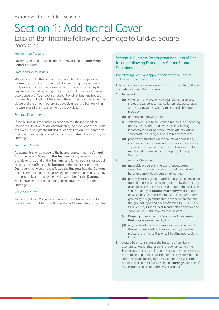### Section 1: Additional Cover Loss of Bar Income following Damage to Cricket Square *continued*

### Payments on Account

Payments on account will be made to **You** during the **Indemnity Period** if desired.

### Professional Accountants

**We** will pay under this Section the reasonable charges payable by **You** to professional accountants for producing any particulars or details or any other proofs, information or evidence as may be required by **Us** and reporting that such particulars or details are in accordance with **Your** books of account or other business books or documents provided that the sum of the amount payable under this clause and the amount otherwise payable under the Section will in no case exceed the maximum amount payable.

### Separate Departments

If the **Business** is conducted in departments, the independent trading results of which are ascertainable, the provisions of the Basis of Cover sub-paragraphs **(a)** and **(b)** of any item on **Bar Income** as appropriate will apply separately to each department affected by the **Damage**.

### Trends and Variations

Adjustments shall be made to the figures representing the **Annual Bar Income** and **Standard Bar Income** as may be necessary to provide for the trend of the **Business**, and for variations in or special circumstances affecting the **Business**, either before or after the **Damage** which would have affected the **Business** had the **Damage** not occurred, so that the adjusted figures represent as nearly as may be reasonably practicable the results which but for the **Damage** would have been obtained during the relative period after the **Damage**.

### Value Added Tax

To the extent that **You** are accountable to the tax authorities for Value Added Tax all terms of this Section will be exclusive of such tax.

### Section 1: Business Interruption and Loss of Bar Income following Damage to Cricket Square Exclusions.

### The following Exclusions apply in addition to the General Exclusions at the front of this policy.

This Section does not cover loss arising from any interruption of or interference with the **Business**:

- **1.** In respect of:
	- **(a)** water, air, runways, railway lines, dams, reservoirs, storage lakes, canals, rigs, wells, tunnels, docks, piers, jetties, excavations, wharfs, mines, and off-shore property
	- **(b)** animals and growing crops
	- **(c)** vehicles required to be licensed for road use (including accessories thereon), caravans, trailers, railway locomotives or rolling stock, watercraft, aircraft or spacecraft (including but not limited to satellites)
	- **(d)** property or structures in the course of demolition, construction or erection and materials, equipment or supplies in connection therewith unless specifically mentioned as insured by the Property Damage Section
- **2.** as a result of **Damage** to:
	- **(a)** moveable property in the open, fences, gates, vegetation, lawns and shrubs caused by wind, rain, hail, sleet, snow, flood, dust or falling trees
	- **(b)** property from a garden, yard, open space or any open fronted or open sided building therein by theft or any attempt thereat or malicious damage. This Exclusion shall not apply to **Ground Machinery** whilst in use or which has been secured to the building (or to the ground by a high tensile steel anchor concreted into the ground), by a padlock conforming to BS EN 12320 CEN Security Grade 4, 5 or 6 and a chain approved to "Sold Secure" Gold (www.soldsecure.com)
	- **(c) Property Insured** at any **Vacant or Unoccupied Buildings** unless agreed by **Us**
	- **(d)** any electrical machine or apparatus or component thereof occasioned by its over-running, excessive pressure, short-circuiting or self-heating not resulting in fire
- **3.** caused by or consisting of the bursting of any boiler, economiser (other than a boiler or economiser on the **Premises** or boiler used for domestic purposes only) vessel, machine or apparatus in which internal pressure is due to steam only and belonging to **You** or under **Your** control but this shall not exclude subsequent **Damage** which itself results from a cause not otherwise excluded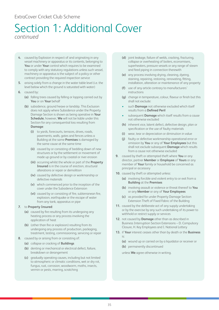### ExtraCover Cricket Club Scheme

### Section 1: Additional Cover *continued*

- **4.** caused by Explosion in respect of and originating in any vessel machinery or apparatus or its contents, belonging to **You** or under **Your** control which requires to be examined to comply with any statutory regulations unless such vessel, machinery or apparatus is the subject of a policy or other contract providing the required inspection service
- **5.** arising solely from a change in the water table level (i.e. the level below which the ground is saturated with water)
- **6.** caused by:
	- **(a)** falling trees caused by felling or lopping carried out by **You** or on **Your** behalf
	- **(b)** subsidence, ground heave or landslip. This Exclusion does not apply where Subsidence under the Property Damage Section is shown as being operative in **Your Schedule**, however, **We** will not be liable under this Section for any consequential loss resulting from **Damage**:
		- **(i)** to yards, forecourts, terraces, drives, roads, pavements, walls, gates and fences unless a Building at the same **Premises** is damaged by the same cause at the same time
		- **(ii)** caused by or consisting of bedding down of new structures or by the settlement or movement of made up ground or by coastal or river erosion
		- **(iii)** occurring whilst the whole or part of the **Property Insured** is in the course of erection, structural alterations or repair or demolition
		- **(iv)** caused by defective design or workmanship or defective materials
		- **(v)** which commenced prior to the inception of the cover under the Subsidence Extension
		- **(vi)** caused by or consisting of fire, subterranean fire, explosion, earthquake or the escape of water from any tank, apparatus or pipe
- **7.** to **Property Insured**:
	- **(a)** caused by fire resulting from its undergoing any heating process or any process involving the application of heat
	- **(b)** (other than fire or explosion) resulting from its undergoing any process of production, packaging, treatment, testing, commissioning, servicing or repair
- **8.** caused by or arising from or consisting of:
	- **(a)** collapse or cracking of **Buildings**
	- **(b)** denting or mechanical or electrical defect, failure, breakdown or derangement
	- **(c)** gradually operating causes, including but not limited to atmospheric or climatic conditions, wet or dry rot, fungus, rust, corrosion, woodworm, moths, insects, vermin or pests, marring, scratching
- **(d)** joint leakage, failure of welds, cracking, fracturing, collapse or overheating of boilers, economisers, superheaters, pressure vessels or any range of steam and feed piping in connection therewith
- **(e)** any process involving drying, cleaning, dyeing, staining, repairing, restoring, renovating, fitting, installation, alteration or maintenance of any property
- **(f)** use of any article contrary to manufacturers' instructions
- **(g)** change in temperature, colour, flavour or finish but this shall not exclude:
- such **Damage** not otherwise excluded which itself results from a **Defined Peril**
- subsequent **Damage** which itself results from a cause not otherwise excluded
- **(h)** inherent vice, latent defect, defective design, plan or specification or the use of faulty materials
- **(i)** wear, tear or depreciation or diminution in value
- **(j)** faulty or defective workmanship operational error or omission by **You** or any of **Your Employees** but this shall not exclude subsequent **Damage** which results from a cause not otherwise excluded
- **9.** caused by theft or attempted theft where **You** or any director, partner **Member** or **Employee** of **Yours** or any member of **Your** family or household be concerned as principal or accessory
- **10.** caused by theft or attempted unless:
	- **(a)** involving forcible and violent entry to or exit from a **Building** at the **Premises**
	- **(b)** involving assault or violence or threat thereof to **You** or any **Member** or any of **Your Employees**
	- **(c)** as provided for under Property Damage Section Extension Theft of Fixed Fabric of the Building
- **11.** caused by the deliberate act of any supply undertaking or by the exercise by any such undertaking of its power to withhold or restrict supply or services
- **12.** not caused by **Damage** other than as described in Business Interruption Section Extensions – D. Compulsory Closure, H. Key Employees and I. National Lottery
- **13.** if **Your** interest ceases other than by death or the **Business** is:
	- **(a)** wound up or carried on by a liquidator or receiver or
	- **(b)** permanently discontinued

unless **We** agree otherwise in writing.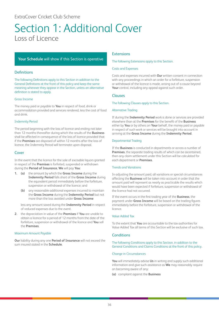### <span id="page-36-0"></span>Section 1: Additional Cover Loss of Licence

### **Your Schedule** will show if this Section is operative

### **Definitions**

The following Definitions apply to this Section in addition to the General Definitions at the front of this policy and keep the same meaning wherever they appear in the Section, unless an alternative definition is stated to apply.

### Gross Income

The money paid or payable to **You** in respect of food, drink or accommodation provided and services rendered, less the cost of food and drink.

### Indemnity Period

The period beginning with the loss of licence and ending not later than 12 months thereafter during which the results of the **Business** shall be affected in consequence of the loss of licence provided that if the **Premises** are disposed of within 12 months after the loss of licence, the Indemnity Period will terminate upon disposal.

### Cover

In the event that the licence for the sale of excisable liquors granted in respect of the **Premises** is forfeited, suspended or withdrawn during the **Period of Insurance**, **We** will pay **You**:

- **1. (a)** the amount by which the **Gross Income** during the **Indemnity Period** falls short of the **Gross Income** during the equivalent period immediately before the forfeiture, suspension or withdrawal of the licence; and
	- **(b)** any reasonable additional expenses incurred to maintain the **Gross Income** during the **Indemnity Period** but not more than the loss avoided under **Gross Income**

less any amount saved during the **Indemnity Period** in respect of reduced expenses due to the event.

**2.** the depreciation in value of the **Premises** if **You** are unable to obtain a licence for a period of 12 months from the date of the forfeiture, suspension or withdrawal of the licence and **You** sell the **Premises**.

### Maximum Amount Payable

**Our** liability during any one **Period of Insurance** will not exceed the sum insured stated in the **Schedule**.

### Extensions

### The following Extensions apply to this Section.

### Costs and Expenses

Costs and expenses incurred with **Our** written consent in connection with any proceedings in which an order for a forfeiture, suspension or withdrawal of the licence is made, arising out of a cause beyond **Your** control, including any appeal against such order.

### Clauses

### The following Clauses apply to this Section.

### Alternative Trading

If during the **Indemnity Period** work is done or services are provided elsewhere than at the **Premises** for the benefit of the **Business** either by **You** or by others on **Your** behalf, the money paid or payable in respect of such work or services will be brought into account in arriving at the **Gross Income** during the **Indemnity Period**.

### Departmental Trading

If the **Business** is conducted in departments or across a number of **Premises**, the separate trading results of which can be ascertained, then any claim settlement under this Section will be calculated for each department or **Premises**.

### Trends and Variations

In adjusting the amount paid, all variations or special circumstances affecting the **Business** will be taken into account in order that the amount paid will represent as nearly as practicable the results which would have been expected if forfeiture, suspension or withdrawal of the licence had not occurred.

If the event occurs in the first trading year of the **Business**, the payment under **Gross Income** will be based on the trading figures immediately before the forfeiture, suspension or withdrawal of the licence.

### Value Added Tax

To the extent that **You** are accountable to the tax authorities for Value Added Tax all terms of this Section will be exclusive of such tax.

### **Conditions**

The following Conditions apply to this Section, in addition to the General Conditions and Claims Conditions at the front of this policy.

### Change in Circumstances

**You** will immediately advise **Us** in writing and supply such additional information and give such assistance as **We** may reasonably require on becoming aware of any:

**(a)** complaint against the **Business**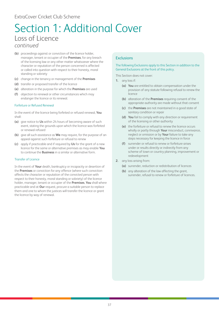### Section 1: Additional Cover Loss of Licence *continued*

- **(b)** proceedings against or conviction of the licence holder, manager, tenant or occupier of the **Premises**, for any breach of the licensing law or any other matter whatsoever where the character or reputation of the person concerned is affected or called into question with respect to their honesty, moral standing or sobriety
- **(c)** change in the tenancy or management of the **Premises**
- **(d)** transfer or proposed transfer of the licence
- **(e)** alteration in the purpose for which the **Premises** are used
- **(f)** objection to renewal or other circumstances which may endanger the licence or its renewal.

### Forfeiture or Refused Renewal

In the event of the licence being forfeited or refused renewal, **You** shall:

- **(a)** give notice to **Us** within 24 hours of becoming aware of such event, stating the grounds upon which the licence was forfeited or renewal refused
- **(b)** give all such assistance as **We** may require, for the purpose of an appeal against such forfeiture or refusal to renew
- **(c)** apply if practicable and if required by **Us** for the grant of a new licence for the same or alternative premises as may enable **You** to continue the **Business** in a similar or alternative form.

### Transfer of Licence

In the event of **Your** death, bankruptcy or incapacity or desertion of the **Premises** or conviction for any offence (where such conviction affects the character or reputation of the convicted person with respect to their honesty, moral standing or sobriety) of the licence holder, manager, tenant or occupier of the **Premises**, **You** shall where practicable and at **Our** request, procure a suitable person to replace them and one to whom the justices will transfer the licence or grant the licence by way of renewal.

### **Exclusions**

### The following Exclusions apply to this Section in addition to the General Exclusions at the front of this policy.

This Section does not cover:

- **1.** any loss if:
	- **(a) You** are entitled to obtain compensation under the provision of any statute following refusal to renew the licence
	- **(b)** alteration of the **Premises** requiring consent of the appropriate authority are made without that consent
	- **(c)** the **Premises** are not maintained in a good state of sanitary condition or repair
	- **(d) You** fail to comply with any direction or requirement of the licensing or other authority
	- **(e)** the forfeiture or refusal to renew the licence occurs wholly or partly through **Your** misconduct, connivance, neglect or omission or by **Your** failure to take any steps necessary for keeping the licence in force
	- **(f)** surrender or refusal to renew or forfeiture arises under or results directly or indirectly from any scheme of town or country planning, improvement or redevelopment
- **2.** any loss arising from:
	- **(a)** surrender, reduction or redistribution of licences
	- **(b)** any alteration of the law affecting the grant, surrender, refusal to renew or forfeiture of licences.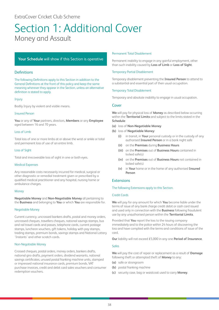### <span id="page-38-0"></span>Section 1: Additional Cover Money and Assault

### **Your Schedule** will show if this Section is operative

### Definitions

The following Definitions apply to this Section in addition to the General Definitions at the front of this policy and keep the same meaning wherever they appear in the Section, unless an alternative definition is stated to apply.

### Injury

Bodily Injury by violent and visible means.

### Insured Person

**You** or any of **Your** partners, directors, **Members** or any **Employee** aged between 16 and 70 years.

### Loss of Limb

Total loss of one or more limbs at or above the wrist or ankle or total and permanent loss of use of an entire limb.

### Loss of Sight

Total and irrecoverable loss of sight in one or both eyes.

### Medical Expenses

Any reasonable costs necessarily incurred for medical, surgical or other diagnostic or remedial treatment given or prescribed by a qualified medical practitioner and any hospital, nursing home or ambulance charges.

### Money

**Negotiable Money** and **Non-Negotiable Money** all pertaining to the **Business** and belonging to **You** or which **You** are responsible for.

### Negotiable Money

Current currency, uncrossed bankers drafts, postal and money orders, uncrossed cheques, travellers cheques, national savings stamps, bus and rail travel cards and passes, telephone cards, current postage stamps, luncheon vouchers, gift tokens, holiday with pay stamps, trading stamps, premium bonds, savings stamps and National Lottery 'Instants' and other scratch cards.

### Non-Negotiable Money

Crossed cheques, postal orders, money orders, bankers drafts, national giro drafts, payment orders, dividend warrants, national savings certificates, unused postal franking machine units, stamped or impressed national insurance cards, premium bonds, VAT purchase invoices, credit and debit card sales vouchers and consumer redemption vouchers.

### Permanent Total Disablement

Permanent inability to engage in any gainful employment, other than such inability caused by **Loss of Limb** or **Loss of Sight**.

### Temporary Partial Disablement

Temporary disablement preventing the **Insured Person** to attend to a substantial and essential part of their usual occupation.

### Temporary Total Disablement

Temporary and absolute inability to engage in usual occupation.

### Cover

**We** will pay for physical loss of **Money** as described below occurring within the **Territorial Limits** and subject to the limits stated in the **Schedule**:

- **(a)** loss of **Non-Negotiable Money**
- **(b)** loss of **Negotiable Money**:
	- **(i)** in transit, in **Your** personal custody or in the custody of any authorised **Insured Person** or in a bank night safe
	- **(ii)** on the **Premises** during **Business Hours**
	- **(iii)** on the **Premises** out of **Business Hours** contained in locked safe(s)
	- **(iv)** on the **Premises** out of **Business Hours** not contained in locked safe(s)
	- **(v)** in **Your** home or in the home of any authorised **Insured Person**

### **Extensions**

### The following Extensions apply to this Section.

### Credit Cards

**We** will pay for any amount for which **You** become liable under the terms of issue of any bank charge credit debit or cash card issued and used only in connection with the **Business** following fraudulent use by any unauthorised person within the **Territorial Limits**.

Provided that **You** report the loss to the issuing company immediately and to the police within 24 hours of discovering the loss and have complied with the terms and conditions of issue of the card.

**Our** liability will not exceed £5,000 in any one **Period of Insurance**.

### Safes

**We** will pay the cost of repair or replacement as a result of **Damage** following theft or attempted theft of **Money** to any:

- **(a)** safe or strongroom
- **(b)** postal franking machine
- **(c)** security case, bag or waistcoat used to carry **Money**.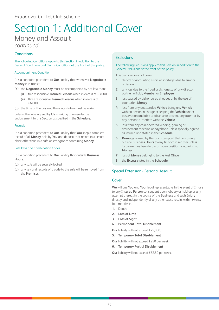### Section 1: Additional Cover Money and Assault *continued*

### **Conditions**

The following Conditions apply to this Section in addition to the General Conditions and Claims Conditions at the front of this policy.

### Accompaniment Condition

It is a condition precedent to **Our** liability that whenever **Negotiable Money** is in transit:

- **(a)** the **Negotiable Money** must be accompanied by not less than:
	- **(i)** two responsible **Insured Persons** when in excess of £3,000
	- **(ii)** three responsible **Insured Persons** when in excess of £6,000

**(b)** the time of the day and the routes taken must be varied

unless otherwise agreed by **Us** in writing or amended by Endorsement to this Section as specified in the **Schedule**.

### Records

It is a condition precedent to **Our** liability that **You** keep a complete record of all **Money** held by **You** and deposit that record in a secure place other than in a safe or strongroom containing **Money**.

### Safe Keys and Combination Codes

It is a condition precedent to **Our** liability that outside **Business Hours**:

- **(a)** any safe will be securely locked
- **(b)** any key and records of a code to the safe will be removed from the **Premises**.

### **Exclusions**

### The following Exclusions apply to this Section in addition to the General Exclusions at the front of this policy.

This Section does not cover:

- **1.** clerical or accounting errors or shortages due to error or omission
- **2.** any loss due to the fraud or dishonesty of any director, partner, official, **Member** or **Employee**
- **3.** loss caused by dishonoured cheques or by the use of counterfeit **Money**
- **4.** loss from any unattended **Vehicle** being any **Vehicle** with no person in charge or keeping the **Vehicle** under observation and able to observe or prevent any attempt by any person to interfere with the **Vehicle**
- **5.** loss from any coin-operated vending, gaming or amusement machine or payphone unless specially agreed as insured and stated in the **Schedule**
- **6. Damage** caused by theft or attempted theft occurring outside **Business Hours** to any till or cash register unless its drawer has been left in an open position containing no **Money**
- **7.** loss of **Money** belonging to the Post Office
- **8.** the **Excess** stated in the **Schedule**.

### Special Extension - Personal Assault

### Cover

**We** will pay **You** and **Your** legal representative in the event of **Injury** to any **Insured Person** consequent upon robbery or hold up or any attempt thereat in the course of the **Business** and such **Injury** directly and independently of any other cause results within twenty four months in:

- **1.** Death
- **2. Loss of Limb**
- **3. Loss of Sight**
- **4. Permanent Total Disablement**

**Our** liability will not exceed £25,000.

**5. Temporary Total Disablement**

**Our** liability will not exceed £250 per week.

**6. Temporary Partial Disablement** 

**Our** liability will not exceed £62.50 per week.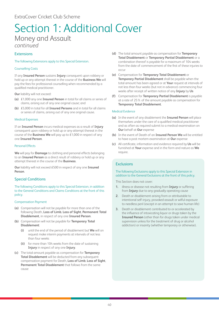### Section 1: Additional Cover Money and Assault *continued*

### Extensions

### The following Extensions apply to this Special Extension.

### Counselling Costs

If any **Insured Person** sustains **Injury** consequent upon robbery or hold up or any attempt thereat in the course of the **Business We** will pay the fees for professional counselling when recommended by a qualified medical practitioner.

**Our** liability will not exceed:

- **(a)** £1,000 any one **Insured Person** in total for all claims or series of claims, arising out of any one original cause; and
- **(b)** £5,000 in total for all **Insured Persons** and in total for all claims or series of claims, arising out of any one original cause.

### Medical Expenses

If an **Insured Person** incurs medical expenses as a result of **Injury** consequent upon robbery or hold up or any attempt thereat in the course of the **Business We** will pay up to £1,000 in respect of any one **Insured Person**.

### Personal Effects

**We** will pay for **Damage** to clothing and personal effects belonging to an **Insured Person** as a direct result of robbery or hold up or any attempt thereat in the course of the **Business**.

**Our** liability will not exceed £500 in respect of any one **Insured Person**.

### Special Conditions

The following Conditions apply to this Special Extension, in addition to the General Conditions and Claims Conditions at the front of this policy.

### Compensation Payment

- **(a)** Compensation will not be payable for more than one of the following Death, **Loss of Limb**, **Loss of Sight**, **Permanent Total Disablement**, in respect of any one **Insured Person**.
- **(b)** Compensation will not be payable for **Temporary Total Disablement**:
	- **(i)** until the end of the period of disablement but **We** will on request make interim payments at intervals of not less than four weeks
	- **(ii)** for more than 104 weeks from the date of sustaining **Injury** in respect of any one **Injury**.
- **(c)** The total amount payable as compensation for **Temporary Total Disablement** will be deducted from any subsequent compensation payment for Death, **Loss of Limb**, **Loss of Sight**, **Permanent Total Disablement** that follows from the same cause
- **(d)** The total amount payable as compensation for **Temporary Total Disablement** or **Temporary Partial Disablement** or a combination thereof is payable for a maximum of 104 weeks from the date of commencement of the first of these injuries to occur
- **(e)** Compensation for **Temporary Total Disablement** or **Temporary Partial Disablement** shall be payable when the total amount has been agreed or at **Your** request at intervals of not less than four weeks (but not in advance) commencing four weeks after receipt of written notice of any **Injury** by **Us**
- **(f)** Compensation for **Temporary Partial Disablement** is payable at a rate of 25% of the amount payable as compensation for **Temporary Total Disablement**.

### Medical Evidence

- **(a)** In the event of any disablement the **Insured Person** will place themselves under the care of a qualified medical practitioner and as often as required submit to a medical examination on **Our** behalf at **Our** expense
- **(b)** In the event of Death of an **Insured Person We** will be entitled to have a post mortem examination at **Our** expense
- **(c)** All certificate, information and evidence required by **Us** will be furnished at **Your** expense and in the form and nature as **We** require.

### **Exclusions**

### The following Exclusions apply to this Special Extension in addition to the General Exclusions at the front of this policy.

This Section does not cover:

- **1.** illness or disease not resulting from **Injury** or suffering from **Injury** due to any gradually operating cause
- **2.** Death or disablement arising from or attributable to intentional self-injury, provoked assault or wilful exposure to needless peril (except in an attempt to save human life)
- **3.** Death or disablement contributed to or accelerated by the influence of intoxicating liquor or drugs taken by the **Insured Person** (other than for drugs taken under medical supervision unless for the treatment of drug or alcohol addiction) or insanity (whether temporary or otherwise).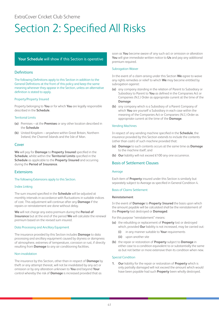# <span id="page-41-0"></span>Section 2: Specified All Risks

### **Your Schedule** will show if this Section is operative

### **Definitions**

The following Definitions apply to this Section in addition to the General Definitions at the front of this policy and keep the same meaning wherever they appear in the Section, unless an alternative definition is stated to apply.

### Property/Property Insured

Property belonging to **You** or for which **You** are legally responsible described in the **Schedule**.

### Territorial Limits

- **(a)** Premises at the **Premises** or any other location described in the **Schedule**
- **(b)** United Kingdom anywhere within Great Britain, Northern Ireland, the Channel Islands and the Isle of Man.

### Cover

**We** will pay for **Damage** to **Property Insured** specified in the **Schedule**, whilst within the **Territorial Limits** specified in the **Schedule** as applicable to the **Property Insured** and occurring during the **Period of Insurance**.

### Extensions

### The following Extensions apply to this Section.

### Index Linking

The sum insured specified in the **Schedule** will be adjusted at monthly intervals in accordance with fluctuations in suitable indices of cost. This adjustment will continue after any **Damage** if the repairs or reinstatement are done without delay.

**We** will not charge any extra premium during the **Period of Insurance** but at the end of the period **We** will calculate the renewal premium based on the revised sum insured.

### Data Processing and Ancillary Equipment

The insurance provided by this Section includes **Damage** to data processing and ancillary equipment caused by dryness or dampness of atmosphere, extremes of temperature, corrosion or rust, if directly resulting from **Damage** to any air conditioning facilities.

### Non-invalidation

The insurance by this Section, other than in respect of **Damage** by theft or any attempt thereat, will not be invalidated by any act or omission or by any alteration unknown to **You** and beyond **Your** control whereby the risk of **Damage** is increased provided that as

soon as **You** become aware of any such act or omission or alteration **You** will give immediate written notice to **Us** and pay any additional premium required.

### Subrogation Waiver

In the event of a claim arising under this Section **We** agree to waive any rights remedies or relief to which **We** may become entitled by subrogation against:

- **(a)** any company standing in the relation of Parent to Subsidiary or Subsidiary to Parent to **You** as defined in the Companies Act or Companies (N.I.) Order as appropriate current at the time of the **Damage**
- **(b)** any company which is a Subsidiary of a Parent Company of which **You** are yourself a Subsidiary in each case within the meaning of the Companies Act or Companies (N.I.) Order as appropriate current at the time of the **Damage**.

### Vending Machines

In respect of any vending machine specified in the **Schedule**, the insurance provided by this Section extends to include the contents (other than cash) of such machine provided that:

- **(a) Damage** to such contents occurs at the same time as **Damage** to the machine itself; and
- **(b) Our** liability will not exceed £100 any one occurrence.

### Basis of Settlement Clauses

### Average

Each item of **Property** insured under this Section is similarly but separately subject to Average as specified in General Condition 4.

### Basis of Claims Settlement

### **Reinstatement**

In the event of **Damage** to **Property Insured** the basis upon which the amount payable will be calculated shall be the reinstatement of the **Property** lost destroyed or **Damaged**.

For this purpose "reinstatement" means:

- **(a)** the rebuilding or replacement of **Property** lost or destroyed which, provided **Our** liability is not increased, may be carried out:
	- **(i)** in any manner suitable to **Your** requirements
	- **(ii)** upon another site
- **(b)** the repair or restoration of **Property** subject to **Damage** in either case to a condition equivalent to or substantially the same as but not better or more extensive than its condition when new.

### Special Condition

**1. Our** liability for the repair or restoration of **Property** which is only partially damaged will not exceed the amount which would have been payable had such **Property** been wholly destroyed.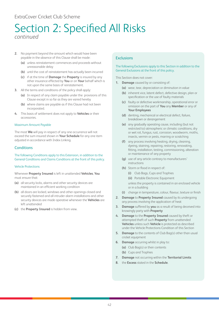### Section 2: Specified All Risks *continued*

- **2.** No payment beyond the amount which would have been payable in the absence of this Clause shall be made:
	- **(a)** unless reinstatement commences and proceeds without unreasonable delay
	- **(b)** until the cost of reinstatement has actually been incurred
	- **(c)** if at the time of **Damage** the **Property** is insured by any other insurance effected by **You** or on **Your** behalf which is not upon the same basis of reinstatement.
- **3.** All the terms and conditions of the policy shall apply:
	- **(a)** In respect of any claim payable under the provisions of this Clause except in so far as they are varied hereby
	- **(b)** where claims are payable as if this Clause had not been incorporated.
- **4.** This basis of settlement does not apply to **Vehicles** or their accessories.

### Maximum Amount Payable

The most **We** will pay in respect of any one occurrence will not exceed the sum insured shown in **Your Schedule** for any one item adjusted in accordance with Index Linking.

### **Conditions**

The following Conditions apply to this Extension, in addition to the General Conditions and Claims Conditions at the front of this policy.

### Vehicle Protections

Whenever **Property Insured** is left in unattended **Vehicles**, **You** must ensure that:

- **(a)** all security locks, alarms and other security devices are maintained in an efficient working condition
- **(b)** all doors are locked, windows and other openings closed and securely fastened and all intruder alarm installations and other security devices are made operative whenever the **Vehicles** are left unattended
- **(c)** the **Property Insured** is hidden from view.

### **Exclusions**

### The following Exclusions apply to this Section in addition to the General Exclusions at the front of this policy.

This Section does not cover:

- **1. Damage** caused by or consisting of:
	- **(a)** wear, tear, depreciation or diminution in value
	- **(b)** inherent vice, latent defect, defective design, plan or specification or the use of faulty materials
	- **(c)** faulty or defective workmanship, operational error or omission on the part of **You** any **Member** or any of **Your Employees**
	- **(d)** denting, mechanical or electrical defect, failure, breakdown or derangement
	- **(e)** any gradually operating cause, including (but not restricted to) atmospheric or climatic conditions, dry or wet rot, fungus, rust, corrosion, woodworm, moths, insects, vermin or pests, marring or scratching
	- **(f)** any process involving heating, drying, cleaning, dyeing, staining, repairing, restoring, renovating, fitting, installation, testing, commissioning, alteration or maintenance of any property
	- **(g)** use of any article contrary to manufacturers' instructions
	- **(h)** Storm or flood in respect of:
		- **(i)** Club Bags, Cups and Trophies
		- **(ii)** Portable Electronic Equipment unless the property is contained in an enclosed vehicle or in a building
	- **(i)** change in temperature, colour, flavour, texture or finish
- **2. Damage** to **Property Insured** caused by its undergoing any process involving the application of heat
- **3. Damage** suffered by **you** as a result of being deceived into knowingly party with **Property**
- **4. Damage** to the **Property Insured** caused by theft or attempted theft of such **Property** from unattended **Vehicles** unless such **Vehicle** is protected as described under the Vehicle Protections Condition of this Section
- **5. Damage** to the contents of Club Bag(s) other than usual cricket equipment
- **6. Damage** occurring whilst in play to:
	- **(a)** Club Bag(s) or their contents
	- **(b)** Cups and Trophies
- **7. Damage** not occurring within the **Territorial Limits**
- **8.** the **Excess** stated in the **Schedule**.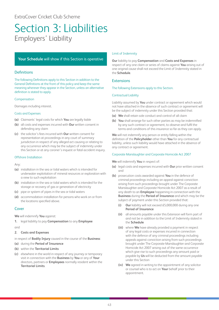### <span id="page-43-0"></span>Section 3: Liabilities Employers' Liability

### **Your Schedule** will show if this Section is operative

### Definitions

The following Definitions apply to this Section in addition to the General Definitions at the front of this policy and keep the same meaning wherever they appear in the Section, unless an alternative definition is stated to apply.

### Compensation

Damages including interest.

### Costs and Expenses

- **(a)** Claimants' legal costs for which **You** are legally liable
- **(b)** all costs and expenses incurred with **Our** written consent in defending any claim
- **(c)** the solicitor's fees incurred with **Our** written consent for representation at proceedings in any court of summary jurisdiction in respect of any alleged act causing or relating to any occurrence which may be the subject of indemnity under this Section or at any coroner's inquest or fatal accident inquiry.

### Offshore Installation

Any:

- **(a)** installation in the sea or tidal waters which is intended for underwater exploitation of mineral resources or exploration with a view to such exploitation
- **(b)** installation in the sea or tidal waters which is intended for the storage or recovery of gas or generation of electricity
- **(c)** pipe or system of pipes in the sea or tidal waters
- **(d)** accommodation installation for persons who work on or from the locations specified above.

### Cover

**We** will indemnify **You** against:

**1.** legal liability to pay **Compensation** to any **Employee** and

### **2. Costs and Expenses**

in respect of **Bodily Injury** caused in the course of the **Business**:

- **(a)** during the **Period of Insurance**
- **(b)** within the **Territorial Limits**
- **(c)** elsewhere in the world in respect of any journey or temporary visit in connection with the **Business** by **You** or any of **Your** directors, partners or **Employees** normally resident within the **Territorial Limits**.

### Limit of Indemnity

**Our** liability to pay **Compensation** and **Costs and Expenses** in respect of any one claim or series of claims against **You** arising out of one original cause shall not exceed the Limit of Indemnity stated in the **Schedule**.

### Extensions

### The following Extensions apply to this Section.

### Contractual Liability

Liability assumed by **You** under contract or agreement which would not have attached in the absence of such contract or agreement will be the subject of indemnity under this Section provided that:

- **(a) We** shall retain sole conduct and control of all claim
- **(b) You** shall arrange for such other parties as may be indemnified by any such contract or agreement, to observe and fulfil the terms and conditions of this insurance so far as they can apply.

**We** will not indemnify any person or entity falling within the definition of the **Policyholder** other than **You** for any contractual liability, unless such liability would have attached in the absence of any contract or agreement.

### Corporate Manslaughter and Corporate Homicide Act 2007

**We** will indemnify **You** in respect of:

- **(a)** legal costs and expenses incurred with **Our** prior written consent and
- **(b)** prosecution costs awarded against **You** in the defence of criminal proceedings including an appeal against conviction arising from such proceedings brought under The Corporate Manslaughter and Corporate Homicide Act 2007 as a result of any death to an **Employee** happening in connection with the **Business** during the **Period of Insurance** and which may be the subject of payment under this Section provided that:
	- **(i) Our** liability will not exceed £5,000,000 during any one **Period of Insurance**
	- **(ii)** all amounts payable under this Extension will form part of and not be in addition to the Limit of Indemnity stated in the **Schedule**
	- **(iii)** where **We** have already provided a payment in respect of any legal costs or expenses incurred in connection with the defence of any criminal proceedings including appeals against conviction arising from such proceedings brought under The Corporate Manslaughter and Corporate Homicide Act 2007 arising out of the same occurrence which give rise to such proceedings any amount paid or payable by **Us** will be deducted from the amount payable under this Section
	- **(iv) We** agreed in writing to the appointment of any solicitor or counsel who is to act on **Your** behalf prior to their appointment.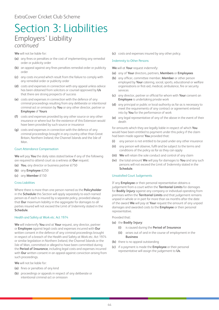### Section 3: Liabilities Employers' Liability *continued*

**We** will not be liable for:

- **(a)** any fines or penalties or the cost of implementing any remedial order or publicity order
- **(b)** an appeal against any fines penalties remedial order or publicity order
- **(c)** any costs incurred which result from the failure to comply with any remedial order or publicity order
- **(d)** costs and expenses in connection with any appeal unless advice has been obtained from solicitors or counsel approved by **Us** that there are strong prospects of success
- **(e)** costs and expenses in connection with the defence of any criminal proceedings resulting from any deliberate or intentional criminal act or omission by **You** or any other director, partner or **Employee** of **Yours**
- **(f)** costs and expenses provided by any other source or any other insurance or where but for the existence of this Extension would have been provided by such source or insurance
- **(g)** costs and expenses in connection with the defence of any criminal proceedings brought in any country other than Great Britain, Northern Ireland, the Channel Islands and the Isle of Man.

### Court Attendance Compensation

**We** will pay **You** the daily rates stated below if any of the following are required to attend court as a witness at **Our** request:

- **(a) You**, any director or business partner £750
- **(b)** any **Employee** £250
- **(c)** any **Member** £150

### Cross Liabilities

Where there is more than one person named as the **Policyholder** in the **Schedule** this Section will apply separately to each named person as if each is insured by a separate policy, provided always that **Our** maximum liability in the aggregate for damages to all parties insured will not exceed the Limit of Indemnity stated in the **Schedule**.

### Health and Safety at Work etc. Act 1974

**We** will indemnify **You** and at **Your** request, any director, partner or **Employee** against legal costs and expenses incurred with **Our** written consent in the defence of any criminal proceedings brought in respect of a breach of the Health and Safety at Work etc. Act 1974 or similar legislation in Northern Ireland, the Channel Islands or the Isle of Man, committed or alleged to have been committed during the **Period of Insurance**, including legal costs and expenses incurred with **Our** written consent in an appeal against conviction arising from such proceedings.

**We** will not be liable for:

- **(a)** fines or penalties of any kind
- **(b)** proceedings or appeals in respect of any deliberate or intentional criminal act or omission

**(c)** costs and expenses insured by any other policy.

### Indemnity to Other Persons

**We** will at **Your** request indemnify:

- **(a)** any of **Your** directors, partners, **Members** or **Employees**
- **(b)** any officer, committee member, **Member** or other person employed by **Your** catering, social, sports, educational or welfare organisations or first-aid, medical, ambulance, fire or security services
- **(c)** any director, partner or official for whom with **Your** consent an **Employee** is undertaking private work
- **(d)** any principal or public or local authority as far as is necessary to meet the requirements of any contract or agreement entered into by **You** for the performance of work
- **(e)** any legal representative of any of the above in the event of their death

for amounts which they are legally liable in respect of which **You** would have been entitled to payment under this policy if the claim had been made against **You** provided that:

- **(i)** any person is not entitled to be paid under any other insurance
- **(ii)** any person will observe, fulfil and be subject to the terms and conditions of the policy as far as they can apply
- **(iii) We** will retain the sole conduct and control of any claim
- **(iv)** the total amount **We** will pay for damages to **You** and any such persons will not exceed the Limit of Indemnity stated in the **Schedule**.

### Unsatisfied Court Judgements

If any **Employee** or their personal representative obtains a judgement from a court within the **Territorial Limits** for damages for **Bodily Injury** against any company or individual operating from premises within the **Territorial Limits** and that judgement remains unpaid in whole or in part for more than six months after the date of the award **We** will pay at **Your** request the amount of any unpaid damages and awarded costs to the **Employee** or their personal representative.

### Provided that:

- **(a)** the **Bodily Injury**:
	- **(i)** is caused during the **Period of Insurance**
	- **(ii)** arises out of and in the course of employment in the **Business**
- **(b)** there is no appeal outstanding
- **(c)** if a payment is made the **Employee** or their personal representative will assign the judgement to **Us**.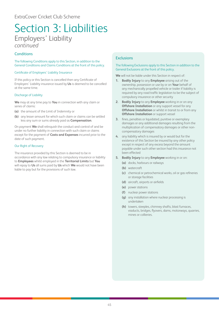### Section 3: Liabilities Employers' Liability *continued*

### **Conditions**

The following Conditions apply to this Section, in addition to the General Conditions and Claims Conditions at the front of this policy.

### Certificate of Employers' Liability Insurance

If this policy or this Section is cancelled then any Certificate of Employers' Liability insurance issued by **Us** is deemed to be cancelled at the same time.

### Discharge of Liability

**We** may at any time pay to **You** in connection with any claim or series of claims:

- **(a)** the amount of the Limit of Indemnity or
- **(b)** any lesser amount for which such claim or claims can be settled less any sum or sums already paid as **Compensation**.

On payment **We** shall relinquish the conduct and control of and be under no further liability in connection with such claim or claims except for the payment of **Costs and Expenses** incurred prior to the date of such payment.

### Our Right of Recovery

The insurance provided by this Section is deemed to be in accordance with any law relating to compulsory insurance or liability to **Employees** whilst employed in the **Territorial Limits** but **You** will repay to **Us** all sums paid by **Us** which **We** would not have been liable to pay but for the provisions of such law.

### **Exclusions**

### The following Exclusions apply to this Section in addition to the General Exclusions at the front of this policy.

**We** will not be liable under this Section in respect of:

- **1. Bodily Injury** to any **Employee** arising out of the ownership, possession or use by or on **Your** behalf of any mechanically propelled vehicle or trailer if liability is required by any road traffic legislation to be the subject of compulsory insurance or other security
- **2. Bodily Injury** to any **Employee** working in or on any **Offshore Installation** or any support vessel for any **Offshore Installation** or whilst in transit to or from any **Offshore Installation** or support vessel
- **3.** fines, penalties or liquidated, punitive or exemplary damages or any additional damages resulting from the multiplication of compensatory damages or other noncompensatory damages
- **4.** any liability which is insured by or would but for the existence of this Section be insured by any other policy except in respect of any excess beyond the amount payable under such other section had this insurance not been effected
- **5. Bodily Injury** to any **Employee** working in or on:
	- **(a)** docks, harbours or railways
	- **(b)** watercraft
	- **(c)** chemical or petrochemical works, oil or gas refineries or storage facilities
	- **(d)** aircraft, airports or airfields
	- **(e)** power stations
	- **(f)** nuclear power stations
	- **(g)** any installation where nuclear processing is undertaken
	- **(h)** towers, steeples, chimney shafts, blast furnaces, viaducts, bridges, flyovers, dams, motorways, quarries, mines or collieries.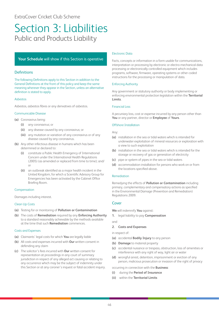### <span id="page-46-0"></span>**Your Schedule** will show if this Section is operative

### **Definitions**

The following Definitions apply to this Section in addition to the General Definitions at the front of this policy and keep the same meaning wherever they appear in the Section, unless an alternative definition is stated to apply.

### Asbestos

Asbestos, asbestos fibres or any derivatives of asbestos.

### Communicable Disease

- **(a)** Coronavirus being:
	- **(i)** any coronavirus; or
	- **(ii)** any disease caused by any coronavirus; or
	- **(iii)** any mutation or variation of any coronavirus or of any disease caused by any coronavirus.
- **(b)** Any other infectious disease in humans which has been determined or declared to:
	- **(i)** constitute a Public Health Emergency of International Concern under the International Health Regulations (2005) (as amended or replaced from time to time); and/ or
	- **(ii)** an outbreak identified as a major health incident in the United Kingdom, for which a Scientific Advisory Group for Emergencies has been activated by the Cabinet Office Briefing Room.

### Compensation

Damages including interest.

### Clean Up Costs

- **(a)** Testing for or monitoring of **Pollution or Contamination**
- **(b)** The costs of **Remediation** required by any **Enforcing Authority** to a standard reasonably achievable by the methods available at the time that such **Remediation** commences.

### Costs and Expenses

- **(a)** Claimants' legal costs for which **You** are legally liable
- **(b)** All costs and expenses incurred with **Our** written consent in defending any claim
- **(c)** The solicitor's fees incurred with **Our** written consent for representation at proceedings in any court of summary jurisdiction in respect of any alleged act causing or relating to any occurrence which may be the subject of indemnity under this Section or at any coroner's inquest or fatal accident inquiry.

### Electronic Data

Facts, concepts or information in a form usable for communications, interpretation or processing by electronic or electro-mechanical data processing or electronically controlled equipment which includes programs, software, firmware, operating systems or other coded instructions for the processing or manipulation of data.

### Enforcing Authority

Any government or statutory authority or body implementing or enforcing environmental protection legislation within the **Territorial Limits**.

### Financial Loss

A pecuniary loss, cost or expense incurred by any person other than **You** or any partner, director or **Employee** of **Yours**.

### Offshore Installation

### Any:

- **(a)** installation in the sea or tidal waters which is intended for underwater exploitation of mineral resources or exploration with a view to such exploitation
- **(b)** installation in the sea or tidal waters which is intended for the storage or recovery of gas or generation of electricity
- **(c)** pipe or system of pipes in the sea or tidal waters
- **(d)** accommodation installation for persons who work on or from the locations specified above.

### Remediation

Remedying the effects of **Pollution or Contamination** including primary, complementary and compensatory actions as specified in the Environmental Damage (Prevention and Remediation) Regulations 2009.

### Cover

**We** will indemnify **You** against:

**1.** legal liability to pay **Compensation**

and

### **2. Costs and Expenses**

in respect of:

- **(a)** accidental **Bodily Injury** to any person
- **(b) Damage** to material property
- **(c)** accidental nuisance or trespass, obstruction, loss of amenities or interference with any right of way, light air or water
- **(d)** wrongful arrest, detention, imprisonment or eviction of any person, malicious prosecution or invasion of the right of privacy

occurring in connection with the **Business**:

- **(i)** during the **Period of Insurance**
- **(ii)** within the **Territorial Limits**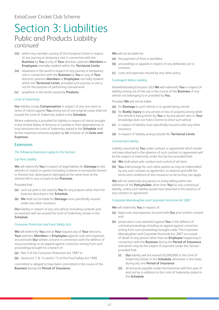- **(iii)** within any member country of the European Union in respect of any journey or temporary visit in connection with the **Business** by **You** or any of **Your** directors, partners **Members** or **Employees** normally resident within the **Territorial Limits**
- **(iv)** elsewhere in the world in respect of any journey or temporary visit in connection with the **Business** by **You** or any of **Your** directors, partners **Members** or **Employees** normally resident within the **Territorial Limits**, provided such journey or visit is not for the purpose of performing manual work
- **(v)** anywhere in the world caused by **Products**.

### Limit of Indemnity

**Our** liability to pay **Compensation** in respect of any one claim or series of claims against **You** arising out of one original cause shall not exceed the Limit of Indemnity stated in the **Schedule**.

Where indemnity is provided for liability in respect of claims brought in the United States of America or Canada or their dependencies or trust territories the Limit of Indemnity stated in the **Schedule** shall be the maximum amount payable by **Us** inclusive of all **Costs and Expenses**.

### Extensions

### The following Extensions apply to this Section.

### Car Park Liability

**We** will indemnify **You** in respect of legal liability for **Damage** to the vehicles of visitors or guests (including contents or accessories therein or thereon lost, destroyed or damaged at the same time as the vehicle) left in any car park at the **Premises**.

Provided that :

- **(a)** such car park is not used by **You** for any purpose other than the business described in the **Schedule**
- **(b) We** shall not be liable for **Damage** more specifically insured under any other insurance

**Our** liability in respect of any one vehicle (including contents and accessories) will not exceed the Limit of Indemnity shown in the **Schedule**.

### Consumer Protection and Food Safety Acts

**We** will indemnify **You** and at **Your** request any of **Your** directors, **Your** partners, **Members** or **Employees** against costs and expenses incurred with **Our** written consent in connection with the defence of any proceedings or an appeal against conviction arising from such proceedings brought for a breach of:

- **(a)** Part 2 of the Consumer Protection Act 1987 or
- **(b)** Section(s) 7, 8, 14 and/or 15 of the Food Safety Act 1990

committed or alleged to have been committed in the course of the **Business** during the **Period of Insurance**.

**We** will not be liable for:

- **(a)** the payment of fines or penalties
- **(b)** proceedings or appeals in respect of any deliberate act or omission
- **(c)** costs and expenses insured by any other policy.

### Contingent Motor Liability

Notwithstanding Exclusion 2(b) **We** will indemnify **You** in respect of liability arising out of the use in the course of the **Business** of any vehicle not belonging to or provided by **You**.

Provided **We** will not be liable:

- **(a)** for **Damage** to such vehicle or to goods being carried
- **(b)** for **Bodily Injury** to any person or loss of property arising while the vehicle is being driven by **You** or by any person who to **Your** knowledge does not hold a licence to drive such vehicle
- **(c)** in respect of liability more specifically insured under any other insurance
- **(d)** in respect of liability arising outside the **Territorial Limits**.

### Contractual Liability

Liability assumed by **You** under contract or agreement which would not have attached in the absence of such contract or agreement will be the subject of indemnity under this Section provided that:

- **(a) We** shall retain sole conduct and control of all claim
- **(b) You** shall arrange for such other parties as may be indemnified by any such contract or agreement, to observe and fulfil the terms and conditions of this insurance so far as they can apply.

**We** will not indemnify any person or entity falling within the definition of the **Policyholder** other than **You** for any contractual liability, unless such liability would have attached in the absence of any contract or agreement.

### Corporate Manslaughter and Corporate Homicide Act 2007

**We** will indemnify **You** in respect of:

- **(a)** legal costs and expenses incurred with **Our** prior written consent and
- **(b)** prosecution costs awarded against **You** in the defence of criminal proceedings including an appeal against conviction arising from such proceedings brought under The Corporate Manslaughter and Corporate Homicide Act 2007 as a result of death to any person other than an **Employee** happening in connection with the **Business** during the **Period of Insurance** and which may be the subject of payment under this Section provided that:
	- **(i) Our** liability will not exceed £5,000,000 or the Limit of Indemnity shown in the **Schedule**, whichever is the lower, during any one **Period of Insurance**
	- **(ii)** all amounts payable under this Extension will form part of and not be in addition to the Limit of Indemnity stated in the **Schedule**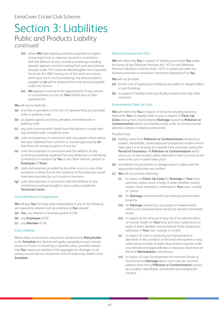- **(iii)** where **We** have already provided a payment in respect of any legal costs or expenses incurred in connection with the defence of any criminal proceedings including appeals against conviction arising from such proceedings brought under The Corporate Manslaughter and Corporate Homicide Act 2007 arising out of the same occurrence which give rise to such proceedings any amount paid or payable by **Us** will be deducted from the amount payable under this Section
- **(iv) We** agreed in writing to the appointment of any solicitor or counsel who is to act on **Your** behalf prior to their appointment.

**We** will not be liable for:

- **(a)** any fines or penalties or the cost of implementing any remedial order or publicity order
- **(b)** an appeal against any fines, penalties, remedial order or publicity order
- **(c)** any costs incurred which result from the failure to comply with any remedial order or publicity order
- **(d)** costs and expenses in connection with any appeal unless advice has been obtained from solicitors or counsel approved by **Us** that there are strong prospects of success
- **(e)** costs and expenses in connection with the defence of any criminal proceedings resulting from any deliberate or intentional criminal act or omission by **You** or any other director, partner or **Employee** of **Yours**
- **(f)** costs and expenses provided by any other source or any other insurance or where but for the existence of this Extension would have been provided by such source or insurance
- **(g)** costs and expenses in connection with the defence of any criminal proceedings brought in any country outside the **Territorial Limits**.

### Court Attendance Compensation

**We** will pay **You** the daily rates stated below if any of the following are required to attend court as a witness at **Our** request:

- **(a) You**, any director or business partner £750
- **(b)** any **Employee** £250
- **(c)** any **Member** £150

### Cross Liabilities

Where there is more than one person named as the **Policyholder** in the **Schedule** this Section will apply separately to each named person as if each is insured by a separate policy, provided always that **Our** maximum liability in the aggregate for damages to all parties insured will not exceed the Limit of Indemnity stated in the **Schedule**.

### Defective Premises Act 1972

**We** will indemnify **You** in respect of liability incurred by **You** under the terms of the Defective Premises Act 1972 or the Defective Premises (Northern Ireland) Order 1975 in connection with any business premises or land which have been disposed of by **You**.

**We** will not be liable:

- **(a)** for the cost of repairing or rectifying any defect or alleged defect in such buildings
- **(b)** in respect of liability more specifically insured under any other insurance.

### Environmental Clean Up Costs

**We** will indemnify **You** in respect of all sums including statutory debts that **You** are legally liable to pay in respect of **Clean Up Costs** arising from environmental **Damage** caused by **Pollution or Contamination** where such liability arises under an environmental directive, statute or statutory instrument.

Provided that:

- **(a)** liability arises from **Pollution or Contamination** caused by a sudden, identifiable, unintended and unexpected incident which takes place in its entirety at a specific time and place during the **Period of Insurance**. All **Pollution or Contamination** which arises out of one incident will be deemed to have occurred at the same time such incident takes place
- **(b)** immediate loss prevention or salvage action is taken and the appropriate authorities are notified
- **(c) We** will not provide indemnity:
	- **(i)** in respect of **Clean Up Costs** for **Damage** to **Your** land, premises, watercourse or body of water whether owned, leased, hired, tenanted or otherwise in **Your** care, custody or control
	- **(ii)** for **Damage** connected with pre-existing contaminated property
	- **(iii)** for **Damage** caused by a succession of several events where such individual event would not warrant immediate action
	- **(iv)** in respect of the removal of any risk of an adverse effect on human health on **Your** land, premises, watercourse or body of water whether owned, leased, hired, tenanted or otherwise in **Your** care, custody or control
	- **(v)** in respect of costs in achieving an improvement or alteration in the condition of the land, atmosphere or any watercourse or body of water beyond that required under any relevant and applicable law or statutory enactment at the time **Remediation** commences
	- **(vi)** in respect of costs for prevention of imminent threat of environmental **Damage** where such costs are incurred without there being **Pollution or Contamination** caused by a sudden, identifiable, unintended and unexpected incident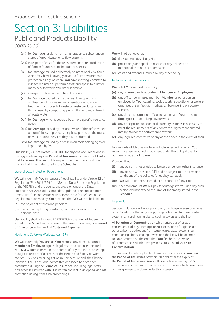- **(vii)** for **Damage** resulting from an alteration to subterranean stores of groundwater or to flow patterns
- **(viii)** in respect of costs for the reinstatement or reintroduction of flora or fauna, natural habitats or species
- **(ix)** for **Damage** caused deliberately or intentionally by **You** or where **You** have knowingly deviated from environmental protection rulings or where **You** have knowingly omitted to inspect, maintain or perform necessary repairs to plant or machinery for which **You** are responsible
- **(x)** in respect of fines or penalties of any kind
- **(xi)** for **Damage** caused by the ownership or operation on **Your** behalf of any mining operations or storage, treatment or disposal of waste or waste products other than caused by composting, purification or pre-treatment of waste water
- **(xii)** for **Damage** which is covered by a more specific insurance policy
- **(xiii)** for **Damage** caused by persons aware of the defectiveness or harmfulness of products they have placed on the market or works or other services they have performed
- **(xiv)** for **Damage** caused by disease in animals belonging to or kept or sold by **You**.

**Our** liability will not exceed £100,000 for any one occurrence and in the aggregate in any one **Period of Insurance** inclusive of all **Costs and Expenses**. This limit will form part of and not be in addition to the Limit of Indemnity stated in the **Schedule**.

### General Data Protection Regulations

**We** will indemnify **You** in respect of legal liability under Article 82 of Regulation (EU) 2016/679 (the "General Data Protection Regulation" or the "GDPR") and the equivalent provision under the Data Protection Act 2018 (all as amended, updated or re-enacted from time to time), in connection with personal data (as defined in the Regulation) processed by **You** provided that **We** will not be liable for:

- **(a)** the payment of fines and penalties
- **(b)** the cost of replacing reinstating rectifying or erasing any personal data.

**Our** liability shall not exceed £1,000,000 or the Limit of Indemnity stated in the **Schedule**, whichever is the lower, during any one **Period of Insurance** inclusive of all **Costs and Expenses**.

### Health and Safety at Work etc. Act 1974

**We** will indemnify **You** and at **Your** request, any director, partner, **Member** or **Employee** against legal costs and expenses incurred with **Our** written consent in the defence of any criminal proceedings brought in respect of a breach of the Health and Safety at Work etc. Act 1974 or similar legislation in Northern Ireland, the Channel Islands or the Isle of Man, committed or alleged to have been committed during the **Period of Insurance**, including legal costs and expenses incurred with **Our** written consent in an appeal against conviction arising from such proceedings.

**We** will not be liable for:

- **(a)** fines or penalties of any kind
- **(b)** proceedings or appeals in respect of any deliberate or intentional criminal act or omission
- **(c)** costs and expenses insured by any other policy.

### Indemnity to Other Persons

**We** will at **Your** request indemnify:

- **(a)** any of **Your** directors, partners, **Members** or **Employees**
- **(b)** any officer, committee member, **Member** or other person employed by **Your** catering, social, sports, educational or welfare organisations or first-aid, medical, ambulance, fire or security services
- **(c)** any director, partner or official for whom with **Your** consent an **Employee** is undertaking private work
- **(d)** any principal or public or local authority as far as is necessary to meet the requirements of any contract or agreement entered into by **You** for the performance of work
- **(e)** any legal representative of any of the above in the event of their death

for amounts which they are legally liable in respect of which **You** would have been entitled to payment under this policy if the claim had been made against **You**.

Provided that:

- **(i)** any person is not entitled to be paid under any other insurance
- **(ii)** any person will observe, fulfil and be subject to the terms and conditions of the policy as far as they can apply
- **(iii) We** will retain the sole conduct and control of any claim
- **(iv)** the total amount **We** will pay for damages to **You** and any such persons will not exceed the Limit of Indemnity stated in the **Schedule**.

### Legionella

Section Exclusion 9 will not apply to any discharge release or escape of Legionella or other airborne pathogens from water tanks, water systems, air conditioning plants, cooling towers and the like.

All **Pollution or Contamination** which arises out of or as a consequence of any discharge release or escape of Legionella or other airborne pathogens from water tanks, water systems, air conditioning plants, cooling towers and the like will be deemed to have occurred on the date that **You** first become aware of circumstances which have given rise to such **Pollution or Contamination**.

This indemnity only applies to claims first made against **You** during the **Period of Insurance** or within 30 days after the expiry of the **Period of Insurance**. **You** shall give notice in writing to **Us** immediately on becoming aware of circumstances which have given or may give rise to a claim under this Extension.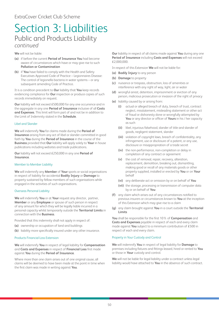**We** will not be liable:

- **(a)** if before the current **Period of Insurance You** had become aware of circumstances which have or may give rise to such **Pollution or Contamination**
- **(b)** if **You** have failed to comply with the Health and Safety Executives Approved Code of Practice – Legionnaires Disease: The control of legionella bacteria in water systems – or any subsequent amending Code of Practice.

It is a condition precedent to **Our** liability that **You** keep records evidencing compliance for **Our** inspection or produce copies of such records immediately on request.

**Our** liability will not exceed £500,000 for any one occurrence and in the aggregate in any one **Period of Insurance** inclusive of all **Costs and Expenses**. This limit will form part of and not be in addition to the Limit of Indemnity stated in the **Schedule**.

### Libel and Slander

**We** will indemnify **You** for claims made during the **Period of Insurance** arising from any act of libel or slander committed in good faith by **You** during the **Period of Insurance** in the course of the **Business** provided that **Our** liability will apply solely to **Your** in house publications including websites and trade publications.

**Our** liability will not exceed £250,000 in any one **Period of Insurance**.

### Member to Member Liability

**We** will indemnify any **Member** of **Your** sports or social organisations in respect of liability for accidental **Bodily Injury** or **Damage** to property sustained by fellow members of such organisations while engaged in the activities of such organisations.

### Overseas Personal Liability

**We** will indemnify **You** or at **Your** request any director, partner, **Member** or any **Employee** or spouse of such person in respect of any amount for which they will be legally liable incurred in a personal capacity whilst temporarily outside the **Territorial Limits** in connection with the **Business**.

Provided that this indemnity shall not apply in respect of:

- **(a)** ownership or occupation of land and buildings
- **(b)** liability more specifically insured under any other insurance.

### Products Financial Loss Extension

**We** will indemnify **You** in respect of legal liability for **Compensation** and **Costs and Expenses** in respect of **Financial Loss** first made against **You** during the **Period of Insurance**.

Where more than one claim arises out of one original cause, all claims will be deemed to have been made at the point in time when the first claim was made in writing against **You**.

**Our** liability in respect of all claims made against **You** during any one **Period of Insurance** including **Costs and Expenses** will not exceed £2,000,000.

In respect of this Extension **We** will not be liable for:

- **(a) Bodily Injury** to any person
- **(b) Damage** to property
- **(c)** nuisance or trespass, obstruction, loss of amenities or interference with any right of way, light, air or water
- **(d)** wrongful arrest, detention, imprisonment or eviction of any person, malicious prosecution or invasion of the right of privacy
- **(e)** liability caused by or arising from:
	- **(i)** actual or alleged breach of duty, breach of trust, contract neglect, misstatement, misleading statement or other act of fraud or dishonesty done or wrongfully attempted by **You** or any director or officer of **Yours** in his / her capacity as such
	- **(ii)** libel, injurious falsehood, slander of title and slander of goods, negligent statement, slander
	- **(iii)** violation of copyright laws, breach of confidentiality, any infringement, use or disclosure of a patent, or any use, disclosure or misappropriation of a trade secret
	- **(iv)** the non-performance, non-completion or delay in completion of any contract or agreement
	- **(v)** the cost of removal, repair, recovery, alteration, replacement, demolition, breaking out, dismantling, making good or recall of any materials goods or other property supplied, installed or erected by **You** or on **Your** behalf
	- **(vi)** any deliberate act or omission by or on behalf of **You**
	- **(vii)** the storage, processing or transmission of computer data by or on behalf of **You**
- **(f)** any claim which arises out of any circumstances notified to previous insurers or circumstances known to **You** at the inception of this Extension which may give rise to a claim
- **(g)** any claim brought against **You** in a court outside the **Territorial Limits**

**You** shall be responsible for the first 10% of **Compensation** and **Costs and Expenses** payable in respect of each and every claim made against **You** subject to a minimum contribution of £500 in respect of each and every claim.

### Property in Your Custody and Control

**We** will indemnify **You** in respect of legal liability for **Damage** to premises including fixtures and fittings leased, hired or rented to **You** or those in **Your** custody and control.

**We** will not be liable for legal liability under a contract unless legal liability would have attached to **You** in the absence of such contract.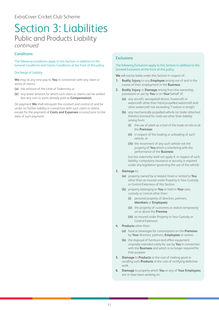### **Conditions**

The following Conditions apply to this Section, in addition to the General Conditions and Claims Conditions at the front of this policy.

### Discharge of Liability

**We** may at any time pay to **You** in connection with any claim or series of claims:

- **(a)** the amount of the Limit of Indemnity or
- **(b)** any lesser amount for which such claim or claims can be settled less any sum or sums already paid as **Compensation**.

On payment **We** shall relinquish the conduct and control of and be under no further liability in connection with such claim or claims except for the payment of **Costs and Expenses** incurred prior to the date of such payment.

### **Exclusions**

### The following Exclusions apply to this Section in addition to the General Exclusions at the front of this policy.

**We** will not be liable under this Section in respect of:

- **1. Bodily Injury** to any **Employee** arising out of and in the course of their employment in the **Business**
- **2. Bodily Injury** or **Damage** arising from the ownership, possession or use by **You** or on **Your** behalf of:
	- **(a)** any aircraft, aerospatial device, hovercraft or watercraft other than hand propelled watercraft and other watercraft not exceeding 7 metres in length
	- **(b)** any mechanically propelled vehicle (or trailer attached thereto) licensed for road use other than liability arising from:
		- **(i)** the use of plant as a tool of the trade on site or at the **Premises**
		- **(ii)** in respect of the loading or unloading of such vehicle; or
		- **(iii)** the movement of any such vehicle not the property of **You** which is interfering with the performance of the **Business**

but this indemnity shall not apply if, in respect of such liability, compulsory insurance or security is required under any legislation governing the use of the vehicle

- **3. Damage** to:
	- **(a)** property owned by or leased, hired or rented to **You** other than as insured under Property in Your Custody or Control Extension of this Section
	- **(b)** property belonging to **You** or held in **Your** care, custody or control other than:
		- **(i)** personal property of directors, partners, **Members** or **Employees**
		- **(ii)** the property of customers or visitors temporarily on or about the **Premise**
		- **(iii)** as insured under Property in Your Custody or Control Extension
- **4. Products** other than:
	- **(a)** food or beverages for consumption on the **Premises** by **Your** directors, partners, **Employees** or visitors
	- **(b)** the disposal of furniture and office equipment originally intended solely for use by **You** in connection with the **Business** and which is no longer required for that purpose
- **5. Damage** to **Products** or the cost of making good or recalling such **Products** or the cost of rectifying defective work
- **6. Damage** to property which **You** or any of **Your Employees** are or have been working on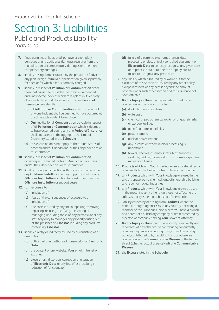### ExtraCover Cricket Club Scheme

### Section 3: Liabilities Public and Products Liability *continued*

- **7.** fines, penalties or liquidated, punitive or exemplary damages or any additional damages resulting from the multiplication of compensatory damages or other noncompensatory damages
- **8.** liability arising from or caused by the provision of advice or any plan, design, formula or specification given separately for a fee or for which a fee is normally charged
- **9.** liability in respect of **Pollution or Contamination** other than that caused by a sudden identifiable unintended and unexpected incident which takes place in its entirety at a specific time and place during any one **Period of Insurance** provided that:
	- **(a)** all **Pollution or Contamination** which arises out of any one incident shall be deemed to have occurred at the time such incident takes place
	- **(b) Our** liability for all **Compensation** payable in respect of all **Pollution or Contamination** which is deemed to have occurred during any one **Period of Insurance** shall not exceed in the aggregate the Limit of Indemnity stated in the **Schedule**
	- **(c)** this exclusion does not apply to the United States of America and/or Canada and/or their dependencies or trust territories
- **10.** liability in respect of **Pollution or Contamination** occurring in the United States of America and/or Canada and/or their dependencies or trust territories
- **11.** liability arising in connection with any visits to or work on any **Offshore Installation** or any support vessel for any **Offshore Installation** or whilst in transit to or from any **Offshore Installation** or support vessel
- **12. (a)** exposure to
	- **(b)** inhalation of
	- **(c)** fears of the consequences of exposure to or inhalation of
	- **(d)** the costs incurred by anyone in repairing, removing, replacing, recalling, rectifying, reinstating or managing (including those of any persons under any statutory duty to manage) any property arising out of the presence of **Asbestos** including any products containing **Asbestos**
- **13.** liability directly or indirectly caused by or consisting of or arising from:
	- **(a)** authorised or unauthorised transmission of **Electronic Data**
	- **(b)** the content of any website, **Your** email, intranet or extranet
	- **(c)** erasure, loss, distortion, corruption or alteration of **Electronic Data** or any loss of use resulting in reduction of functionality
- **(d)** failure of electronic, electromechanical data processing or electronically controlled equipment or **Electronic Data** to correctly recognise any given date or to process data or to operate properly due to a failure to recognise any given date
- **14.** any liability which is insured by or would but for the existence of this Section be insured by any other policy except in respect of any excess beyond the amount payable under such other section had this insurance not been effected
- **15. Bodily Injury** or **Damage** to property caused by or in connection with any work on or in:
	- **(a)** docks, harbours or railways
	- **(b)** watercraft
	- **(c)** chemical or petrochemical works, oil or gas refineries or storage facilities
	- **(d)** aircraft, airports or airfields
	- **(e)** power stations
	- **(f)** nuclear power stations
	- **(g)** any installation where nuclear processing is undertaken
	- **(h)** towers, steeples, chimney shafts, blast furnaces, viaducts, bridges, flyovers, dams, motorways, quarries, mines or collieries
- **16. Products** which with **Your** knowledge are exported directly or indirectly to the United States of America or Canada
- **17.** any **Products** which with **Your** knowledge are used in the aircraft, space, petro-chemical, gas, offshore, ship building and repair or nuclear industries
- **18.** any **Products** which with **Your** knowledge are to be used in the motor industry other than those not affecting the safety, stability, steering or braking of the vehicle
- **19.** liability caused by or arising from **Products** where the action is brought against **You** in any country not being a member of the European Union where **You** have a branch or a parent or a subsidiary company or are represented by a person or company holding **Your** Power of Attorney
- **20. Bodily Injury** or **Damage** arising directly or indirectly and regardless of any other cause contributing concurrently or in any sequence, originating from, caused by, arising out of, contributed to by, resulting from, or otherwise in connection with a **Communicable Disease** or the fear or threat (whether actual or perceived) of a **Communicable Disease**
- **21.** the **Excess** stated in the **Schedule**.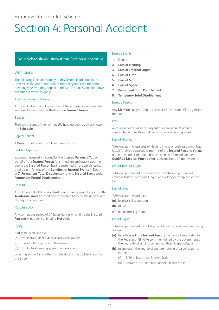# <span id="page-53-0"></span>Section 4: Personal Accident

### **Your Schedule** will show if this Section is operative

### **Definitions**

The following Definitions apply to this Section in addition to the General Definitions at the front of this policy and keep the same meaning wherever they appear in the Section, unless an alternative definition is stated to apply.

### Additional Insured Person

An individual who is not a member of the emergency services whilst engaged in trying to save the life of an **Insured Person**.

### Benefit

The sum or sums of money that **We** have agreed to pay as shown in the **Schedule**.

### Capital Benefit

A **Benefit** that is not payable at a weekly rate.

### First Aid Expenses

Expenses necessarily incurred by the **Insured Person** or **You** on behalf of the **Insured Person** for immediate and urgent treatment due to the **Insured Person** having sustained **Injury** which results in a valid claim for any of the **Benefits** for **Insured Events 1.** Death or **7. Permanent Total Disablement**, or any **Insured Event** under **Permanent Partial Disablement**.

### Hospital

Any National Health Service Trust or registered private Hospital in the **Territorial Limits** licensed by a recognised body for the undertaking of surgical operations.

### Hospitalisation

Any continuous period of 24 hours during which time the **Insured Person(s)** has been confined to **Hospital**.

### Injury

Bodily injury caused by:

- **(a)** accidental violent external and visible means
- **(b)** unavoidable exposure to the elements
- **(c)** accidental drowning, gassing or poisoning

occurring within 12 months from the date of the accident causing the Injury.

### Insured Events

- **1.** Death
- **2. Loss of Hearing**
- **3. Loss of Internal Organ**
- **4. Loss of Limb**
- **5. Loss of Sight**
- **6. Loss of Speech**
- **7. Permanent Total Disablement**
- **8. Temporary Total Disablement**

### Insured Person

Any **Member** , player, umpire or scorer of the insured Club aged less than 85.

#### Loss

A loss or series of losses arising out of or consequent upon or contributed to directly or indirectly by one originating event.

### Loss of Hearing

Total and permanent Loss of Hearing in one or both ears which has lasted for three consecutive months of the **Insured Persons** lifetime and at the end of that period in the opinion of an independent **Qualified Medical Practitioner** is beyond hope of improvement.

### Loss of Internal Organ

Total and permanent loss by removal or total and permanent effective loss of use of one lung or one kidney or the spleen or the liver.

### Loss of Limb

Total and permanent loss:

- **(a)** by physical separation
- **(b)** of use

of a hand, arm, leg or foot.

### Loss of Sight

Total and permanent loss of sight which will be considered as having occurred:

- **(a)** in both eyes if the **Insured Persons** name has been added to the Register of Blind Persons maintained by the government on the authority of a fully qualified ophthalmic specialist; or
- **(b)** in one eye if the degree of sight remaining after correction is either:
	- **(i)** 3/60 or less on the Snellen Scale
	- **(ii)** between 3/60 and 6/60 on the Snellen Scale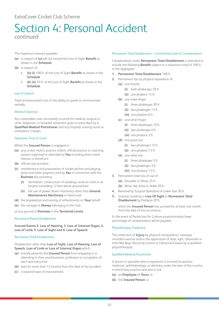The maximum amount payable:

- **(a)** in respect of **(a)** will not exceed the Loss of Sight **Benefit** as shown in the **Schedule**
- **(b)** in respect of:
	- **(b) (i)** 100% of the Loss of Sight **Benefit** as shown in the **Schedule**
	- **(b) (ii)** 10% of the Loss of Sight **Benefit** as shown in the **Schedule**.

### Loss of Speech

Total and permanent loss of the ability to speak or communicate verbally.

### Medical Expenses

Any reasonable costs necessarily incurred for medical, surgical or other diagnostic or remedial treatment given or prescribed by a **Qualified Medical Practitioner** and any hospital, nursing home or ambulance charges.

### Operative Time of Cover

Whilst the **Insured Person** is engaged in:

- **(a)** any cricket match, practice match, official practice or coaching session organised or attended by **You** including direct travel thereto or therefrom
- **(b)** official club activities
- **(c)** maintenance and preparation of cricket pitches and playing areas and other property used by **You** in connection with the **Business** but excluding
	- **(i)** demolition, construction of buildings, work on roofs or at heights exceeding 12 feet above ground level
	- **(ii)** the use of power driven machinery other than **Ground Maintenance Machinery** or hand tools
- **(d)** the preparation and serving of refreshments on **Your** behalf
- **(e)** the carriage of **Money** belonging to the Club

at any ground or **Premises** in the **Territorial Limits**.

### Permanent Partial Disablement

**Insured Events 2. Loss of Hearing, 3. Loss of Internal Organ, 4. Loss of Limb, 5. Loss of Sight and 6. Loss of Speech**.

### Permanent Total Disablement

### Disablement other than **Loss of Sight, Loss of Hearing, Loss of Speech, Loss of Limb or Loss of Internal Organ** which:

- **(a)** entirely prevents the **Insured Person** from engaging in or attending to their usual business, profession or occupation of each and every kind
- **(b)** lasts for more than 12 months from the date of the accident
- **(c)** is beyond hope of improvement.

### Permanent Total Disablement – Continental Scale of Compensation

Compensation under **Permanent Total Disablement** is extended to include the following **Benefit** subject to a maximum total of 100% in the aggregate:

- **1. Permanent Total Disablement** 100%
- **2.** Permanent loss by physical separation of:
	- **(a)** one thumb:
		- **(i)** both phalanges 30%
		- **(ii)** one phalanx 15%
	- **(b)** one index finger:
		- **(i)** three phalanges 20%
		- **(ii)** two phalanges 13%
		- **(iii)** one phalanx 6%
	- **(c)** one other finger:
		- **(i)** three phalanges 10%
		- **(ii)** two phalanges 6%
		- **(iii)** one phalanx 3%
	- **(d)** one great toe:
		- **(i)** two phalanges 15%
		- **(ii)** one phalanx 7.5%
	- **(e)** one other toe:
		- **(i)** three phalanges 5%
		- **(ii)** two phalanges 3%
		- **(iii)** one phalanx 1.5%
- **3.** Permanent total loss of use of:
	- **(a)** Shoulder or Elbow 25%
	- **(b)** Wrist, Hip, Knee or Ankle 20%
- **4.** Removal by Surgical Operation of Lower Jaw 30%
- **5.** Sickness resulting in **Loss Of Sight** or **Permanent Total Disablement** by Paralysis 20%

which the **Insured Person** has survived for at least one month from the date of the occurrence.

In the event of Partial loss for 2 above proportionately lower percentage of compensation will be payable.

### Physiotherapy Treatment

The treatment of **Injury** by physical manipulation, massage, remedial exercise and/or the application of heat, light, Ultraviolet or Infra Red Rays, Electrical Current or Ultrasound waves by a qualified physiotherapist.

### Qualified Medical Practitioner

A doctor or specialist who is registered or licensed to practice medicine, ophthalmology, or dentistry under the laws of the country in which they practice and who is not:

- **(a)** an **Employee** of **Yours**; or
- **(b)** the **Insured Person**; or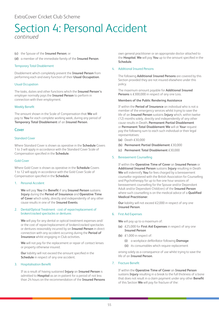### **(c)** the Spouse of the **Insured Person**; or

**(d)** a member of the immediate family of the **Insured Person**.

### Temporary Total Disablement

Disablement which completely prevent the **Insured Person** from performing each and every function of their **Usual Occupation**.

### Usual Occupation

The tasks, duties and other functions which the **Insured Person's** employer normally pays the **Insured Person** to perform in connection with their employment.

### Weekly Benefit

The amount shown in the Scale of Compensation that **We** will pay to **You** for each complete working week, during any period of **Temporary Total Disablement** of an **Insured Person**.

### Cover

### Standard Cover

Where Standard Cover is shown as operative in the **Schedule** Covers 1 to 3 will apply in accordance with the Standard Cover Scale of Compensation specified in the **Schedule**.

### Gold Cover

Where Gold Cover is shown as operative in the **Schedule** Covers 1 to 12 will apply in accordance with the Gold Cover Scale of Compensation specified in the **Schedule**.

### 1. Personal Accident

**We** will pay **You** the **Benefit** if any **Insured Person** sustains **Injury** during the **Period of Insurance** and **Operative Time of Cover** which solely, directly and independently of any other cause results in one of the **Insured Events**.

### 2. Dental/Optical Treatment - cost of repair/replacement of broken/cracked spectacles or dentures

**We** will pay for any dental or optical treatment expenses and/ or the cost of repair/replacement of broken/cracked spectacles or dentures reasonably incurred by an **Insured Person** in direct connection with any accident occurring during the **Period of Insurance** whilst engaging in Club activities.

**We** will not pay for the replacement or repair of contact lenses or property otherwise insured.

**Our** liability will not exceed the amount specified in the **Schedule** in respect of any one accident.

### 3. Hospitalisation Benefit

If as a result of having sustained **Injury** an **Insured Person** is admitted to **Hospital** as an in-patient for a period of not less than 24 hours on the recommendation of the **Insured Persons** own general practitioner or an appropriate doctor attached to the **Hospital**, **We** will pay **You** up to the amount specified in the **Schedule**.

### 4. Additional Insured Persons

The following **Additional Insured Persons** are covered by this Section provided they are not insured elsewhere under this policy.

The maximum amount payable for **Additional Insured Persons** is £300,000 in respect of any one Loss.

### **Members of the Public Rendering Assistance**

If within the **Period of Insurance** an individual who is not a member of the emergency services whilst trying to save the life of an **Insured Person** sustains **Injury** which, within twelve (12) months solely, directly and independently of any other cause results in Death, **Permanent Partial Disablement** or **Permanent Total Disablement We** will at **Your** request pay the following sum to each such individual or their legal representatives:

- **(a)** Death £30,000
- **(b) Permanent Partial Disablement** £30,000
- **(c) Permanent Total Disablement** £30,000

### 5. Bereavement Counselling

If within the **Operative Time of Cover** an **Insured Person** or **Additional Insured Person** sustains **Injury** resulting in Death **We** will indemnify **You** for fees charged by a bereavement counsellor registered with the British Association for Counselling and Psychotherapy for up to five one hour sessions of bereavement counselling for the Spouse and/or Dependant Adult and/or Dependant Child(ren) of the **Insured Person** where such counselling is on the medical advice of a **Qualified Medical Practitioner**.

**Our** liability will not exceed £2,000 in respect of any one **Insured Person**.

### 6. First Aid Expenses

**We** will pay up to a maximum of:

- **(a)** £25,000 for **First Aid Expenses** in respect of any one **Insured Person**
- **(b)** £1,000 in respect of:
	- **(i)** a workplace defibrillator following **Damage**
	- **(ii)** its consumables which require replacement

arising solely as a consequence of use whilst trying to save the life of an **Insured Person**.

### 7. Fracture Benefit

If within the **Operative Time of Cover** an **Insured Person**  sustains **Injury** resulting in a break to the full thickness of a bone that does not result in a claim payment under any other **Benefit**  of this Section **We** will pay for fracture of the: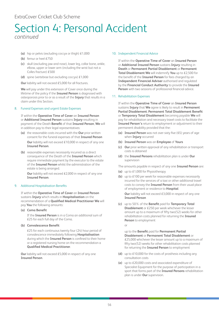- **(a)** hip or pelvis (excluding coccyx or thigh) £1,000
- **(b)** femur or heel £750
- **(c)** skull (excluding jaw and nose), lower leg, collar bone, ankle, elbow, upper or lower arm (including the wrist but not a Colles fracture) £500
- **(d)** spine (vertebrae but excluding coccyx) £1,000

**Our** liability will not exceed £5,000 for all fractures.

**We** will pay under this extension of Cover once during the lifetime of the policy if the **Insured Person** is diagnosed with osteoporosis prior to or as a result of the **Injury** that results in a claim under this Section.

### 8. Funeral Expenses and urgent Estate Expenses

If within the **Operative Time of Cover** an **Insured Person** or **Additional Insured Person** sustains **Injury** resulting in payment of the Death **Benefit** of that **Insured Person**, **We** will in addition pay to their legal representatives:

- **(a)** the reasonable costs incurred with the **Our** prior written consent for the funeral expenses of that **Insured Person Our** liability will not exceed £10,000 in respect of any one **Insured Person**.
- **(b)** reasonable expenses necessarily incurred as a direct consequence of the Death of the **Insured Person** which require immediate payment by the executor to the estate of the **Insured Person** whilst the administration of the estate is being arranged.

**Our** liability will not exceed £2,000 in respect of any one **Insured Person**.

### 9. Additional Hospitalisation Benefits

If within the **Operative Time of Cover** an **Insured Person** sustains **Injury** which results in **Hospitalisation** on the recommendation of a **Qualified Medical Practitioner We** will pay **You** the following amounts:

**(a) Coma Benefit**

If the **Insured Person** is in a Coma an additional sum of £25 for each full day of the Coma.

**(b) Convalescence Benefit**

£25 for each continuous twenty four (24) hour period of convalescence immediately following **Hospitalisation** during which the **Insured Person** is confined to their home or a registered nursing home on the recommendation a **Qualified Medical Practitioner**.

**Our** liability will not exceed £5,000 in respect of any one **Insured Person**.

### 10. Independent Financial Advice

If within the **Operative Time of Cover** an **Insured Person** or **Additional Insured Person** sustains **Injury** resulting in **Death** or **Permanent Partial Disablement** or **Permanent Total Disablement We** will indemnify **You** up to £2,500 for the benefit of the **Insured Person** for fees charged by an **Independent Financial Adviser** authorised and regulated by the **Financial Conduct Authority** to provide the **Insured Person** with two sessions of professional financial advice.

### 11. Rehabilitation Expenses

If within the **Operative Time of Cover** an **Insured Person** sustains **Injury** that **We** agree is likely to result in **Permanent Partial Disablement**, **Permanent Total Disablement Benefit** or **Temporary Total Disablement** becoming payable **We** will pay for rehabilitation and necessary travel costs to facilitate the **Insured Person's** return to employment or adjustment to their permanent disability provided that the:

- **(a) Insured Person** was not over sixty five (65) years of age when **Injury** occurred
- **(b) Insured Person** was an **Employee** of **Yours**
- **(c) Our** prior written approval of any rehabilitation or transport costs is obtained
- **(d)** the **Insured Persons** rehabilitation plan is under **Our** supervision

The amounts payable in respect of any one **Insured Person** are:

- **(a)** up to £1,000 for Physiotherapy
- **(b)** up to £100 per week for reasonable expenses necessarily incurred for the services of a taxi or other additional travel costs to convey the **Insured Person** from their usual place of employment or residence to **Hospital**. **Our** liability will not exceed £3,000 in respect of any one **Insured Person**
- **(c)** up to 50% of the **Benefit** paid for **Temporary Total Disablement** or £250 per week whichever the lesser amount up to a maximum of fifty two(52) weeks for other rehabilitation costs planned for returning the **Insured Person** to employment

or

up to the **Benefit** paid for **Permanent Partial Disablement** or **Permanent Total Disablement** or £25,000 whichever the lesser amount up to a maximum of fifty two(52) weeks for other rehabilitation costs planned for returning the **Insured Person** to employment

- **(d)** up to £10,000 for the costs of prosthesis including any consultation costs
- **(e)** up to £20,000 costs and associated expenditure of Specialist Equipment for the purpose of participation in a sport that forms part of the **Insured Persons** rehabilitation plan is under **Our** supervision.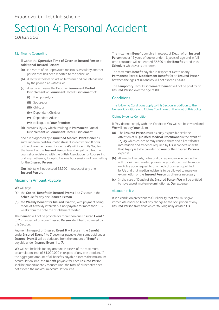# Section 4: Personal Accident

*continued*

### 12. Trauma Counselling

If within the **Operative Time of Cover** an **Insured Person** or **Additional Insured Person**:

- **(a)** is a victim of an unprovoked malicious assault by another person that has been reported to the police; or
- **(b)** directly witnesses an act of Terrorism and are interviewed by the police as a witness; or
- **(c)** directly witnesses the Death or **Permanent Partial Disablement** or **Permanent Total Disablement** of:
	- **(i)** their parent; or
	- **(ii)** Spouse; or
	- **(iii)** Child; or
	- **(iv)** Dependant Child; or
	- **(v)** Dependant Adult; or
	- **(vi)** colleague at **Your Premises**
- **(d)** sustains **Injury** which resulting in **Permanent Partial Disablement** or **Permanent Total Disablement**

and are diagnosed by a **Qualified Medical Practitioner** as suffering from post-traumatic stress disorder within 90 days of the above mentioned incidents **We** will indemnify **You** for the benefit of the **Insured Person** fees charged by a trauma counsellor registered with the British Association for Counselling and Psychotherapy for up to five one hour sessions of counselling for the **Insured Person**.

**Our** liability will not exceed £2,500 in respect of any one **Insured Person**.

### Maximum Amount Payable

**We** will pay:

- **(a)** the **Capital Benefit** for **Insured Events 1** to **7** shown in the **Schedule** for any one **Insured Person**
- **(b)** the **Weekly Benefit** for **Insured Event 8**, with payment being made at 4 weekly intervals but not payable for more than 104 weeks from the date the disablement started.

The **Benefit** will not be payable for more than one **Insured Event 1** to **7** in respect of any one **Insured Person** identified as covered by this Section.

Payment in respect of **Insured Event 8** will cease if the **Benefit** under **Insured Event 1** to **7** becomes payable. Any sums paid under **Insured Event 8** will be deducted from the amount of **Benefit** payable under **Insured Event 1** to **7**.

**We** will not be liable for any amount in excess of the maximum accumulation limit of £1,000,000 in respect of any one accident. If the aggregate amount of all benefits payable exceeds the maximum accumulation limit, the **Benefit** payable for each **Insured Person** shall be proportionately reduced until the total of all benefits does not exceed the maximum accumulation limit.

The maximum **Benefit** payable in respect of Death of an **Insured Person** under 16 years of age or under 18 years of age and in fulltime education will not exceed £2,500 or the **Benefit** stated in the **Schedule** whichever is the lower.

The maximum **Benefit** payable in respect of Death or any **Permanent Partial Disablement Benefit** for an **Insured Person** between the ages of 80 and 85 will not exceed £5,000.

The **Temporary Total Disablement Benefit** will not be paid for an **Insured Person** over the age of 80.

### **Conditions**

The following Conditions apply to this Section in addition to the General Conditions and Claims Conditions at the front of this policy.

### Claims Evidence Condition

If **You** do not comply with this Condition **You** will not be covered and **We** will not pay **Your** claim.

- **(a)** The **Insured Person** must as early as possible seek the attention of a **Qualified Medical Practitioner** in the event of **Injury** which causes or may cause a claim and all certificates, information and evidence required by **Us** in connection with that **Injury** is to be provided at **Your** or the **Insured Persons** expense
- **(b)** All medical records, notes and correspondence in connection with a claim or a related pre-existing condition must be made available upon request to any medical adviser appointed by **Us** and that medical adviser is to be allowed to make an examination of the **Insured Person** as often as necessary
- **(c)** In the case of Death of the **Insured Person We** will be entitled to have a post mortem examination at **Our** expense.

### Alteration in Risk

It is a condition precedent to **Our** liability that **You** must give immediate notice to **Us** of any change to the occupation of any **Insured Person** from that which **You** originally advised **Us**.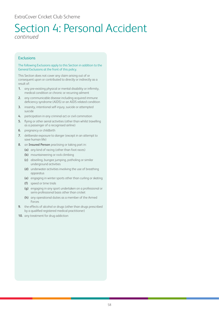**Exclusions** 

### The following Exclusions apply to this Section in addition to the General Exclusions at the front of this policy.

This Section does not cover any claim arising out of or consequent upon or contributed to directly or indirectly as a result of:

- **1.** any pre-existing physical or mental disability or infirmity, medical condition or chronic or recurring ailment
- **2.** any communicable disease including acquired immune deficiency syndrome (AIDS) or an AIDS related condition
- **3.** insanity, intentional self-injury, suicide or attempted suicide
- **4.** participation in any criminal act or civil commotion
- **5.** flying or other aerial activities (other than whilst travelling as a passenger of a recognised airline)
- **6.** pregnancy or childbirth
- **7.** deliberate exposure to danger (except in an attempt to save human life)
- **8.** an **Insured Person** practising or taking part in:
	- **(a)** any kind of racing (other than foot races)
	- **(b)** mountaineering or rock climbing
	- **(c)** abseiling, bungee jumping, potholing or similar underground activities
	- **(d)** underwater activities involving the use of breathing apparatus
	- **(e)** engaging in winter sports other than curling or skating
	- **(f)** speed or time trials
	- **(g)** engaging in any sport undertaken on a professional or semi-professional basis other than cricket
	- **(h)** any operational duties as a member of the Armed Forces
- **9.** the effects of alcohol or drugs (other than drugs prescribed by a qualified registered medical practitioner)
- **10.** any treatment for drug addiction